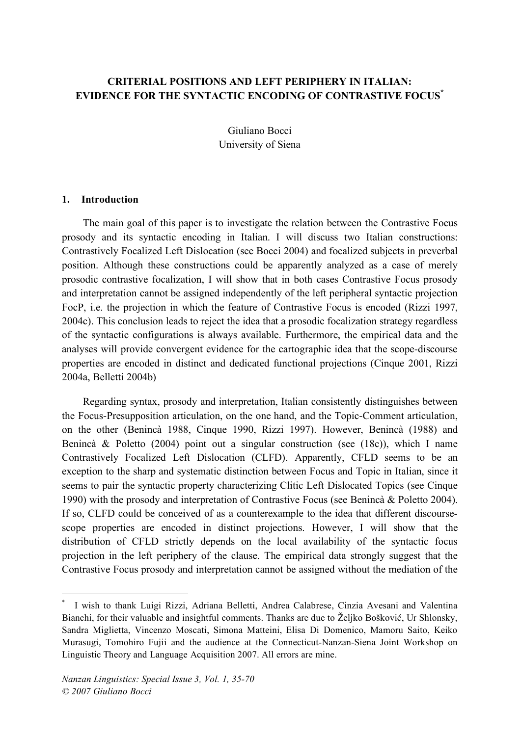# **CRITERIAL POSITIONS AND LEFT PERIPHERY IN ITALIAN: EVIDENCE FOR THE SYNTACTIC ENCODING OF CONTRASTIVE FOCUS\***

Giuliano Bocci University of Siena

#### **1. Introduction**

The main goal of this paper is to investigate the relation between the Contrastive Focus prosody and its syntactic encoding in Italian. I will discuss two Italian constructions: Contrastively Focalized Left Dislocation (see Bocci 2004) and focalized subjects in preverbal position. Although these constructions could be apparently analyzed as a case of merely prosodic contrastive focalization, I will show that in both cases Contrastive Focus prosody and interpretation cannot be assigned independently of the left peripheral syntactic projection FocP, i.e. the projection in which the feature of Contrastive Focus is encoded (Rizzi 1997, 2004c). This conclusion leads to reject the idea that a prosodic focalization strategy regardless of the syntactic configurations is always available. Furthermore, the empirical data and the analyses will provide convergent evidence for the cartographic idea that the scope-discourse properties are encoded in distinct and dedicated functional projections (Cinque 2001, Rizzi 2004a, Belletti 2004b)

Regarding syntax, prosody and interpretation, Italian consistently distinguishes between the Focus-Presupposition articulation, on the one hand, and the Topic-Comment articulation, on the other (Benincà 1988, Cinque 1990, Rizzi 1997). However, Benincà (1988) and Benincà & Poletto (2004) point out a singular construction (see (18c)), which I name Contrastively Focalized Left Dislocation (CLFD). Apparently, CFLD seems to be an exception to the sharp and systematic distinction between Focus and Topic in Italian, since it seems to pair the syntactic property characterizing Clitic Left Dislocated Topics (see Cinque 1990) with the prosody and interpretation of Contrastive Focus (see Benincà & Poletto 2004). If so, CLFD could be conceived of as a counterexample to the idea that different discoursescope properties are encoded in distinct projections. However, I will show that the distribution of CFLD strictly depends on the local availability of the syntactic focus projection in the left periphery of the clause. The empirical data strongly suggest that the Contrastive Focus prosody and interpretation cannot be assigned without the mediation of the

I wish to thank Luigi Rizzi, Adriana Belletti, Andrea Calabrese, Cinzia Avesani and Valentina Bianchi, for their valuable and insightful comments. Thanks are due to Željko Bošković, Ur Shlonsky, Sandra Miglietta, Vincenzo Moscati, Simona Matteini, Elisa Di Domenico, Mamoru Saito, Keiko Murasugi, Tomohiro Fujii and the audience at the Connecticut-Nanzan-Siena Joint Workshop on Linguistic Theory and Language Acquisition 2007. All errors are mine.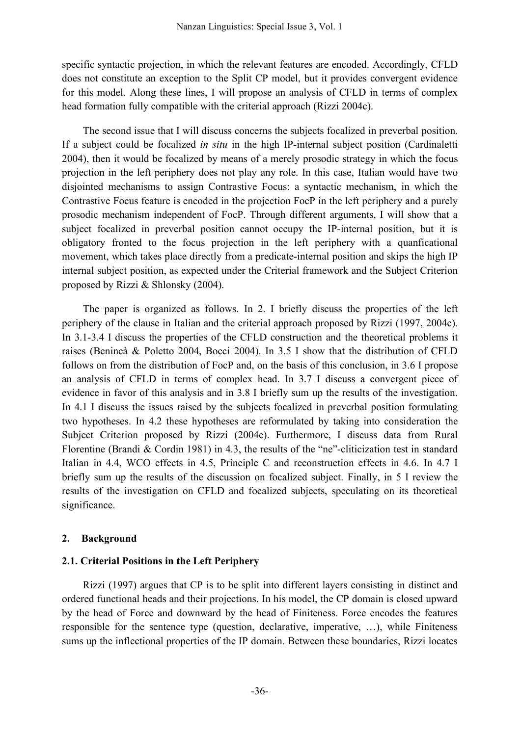specific syntactic projection, in which the relevant features are encoded. Accordingly, CFLD does not constitute an exception to the Split CP model, but it provides convergent evidence for this model. Along these lines, I will propose an analysis of CFLD in terms of complex head formation fully compatible with the criterial approach (Rizzi 2004c).

The second issue that I will discuss concerns the subjects focalized in preverbal position. If a subject could be focalized *in situ* in the high IP-internal subject position (Cardinaletti 2004), then it would be focalized by means of a merely prosodic strategy in which the focus projection in the left periphery does not play any role. In this case, Italian would have two disjointed mechanisms to assign Contrastive Focus: a syntactic mechanism, in which the Contrastive Focus feature is encoded in the projection FocP in the left periphery and a purely prosodic mechanism independent of FocP. Through different arguments, I will show that a subject focalized in preverbal position cannot occupy the IP-internal position, but it is obligatory fronted to the focus projection in the left periphery with a quanficational movement, which takes place directly from a predicate-internal position and skips the high IP internal subject position, as expected under the Criterial framework and the Subject Criterion proposed by Rizzi & Shlonsky (2004).

The paper is organized as follows. In 2. I briefly discuss the properties of the left periphery of the clause in Italian and the criterial approach proposed by Rizzi (1997, 2004c). In 3.1-3.4 I discuss the properties of the CFLD construction and the theoretical problems it raises (Benincà & Poletto 2004, Bocci 2004). In 3.5 I show that the distribution of CFLD follows on from the distribution of FocP and, on the basis of this conclusion, in 3.6 I propose an analysis of CFLD in terms of complex head. In 3.7 I discuss a convergent piece of evidence in favor of this analysis and in 3.8 I briefly sum up the results of the investigation. In 4.1 I discuss the issues raised by the subjects focalized in preverbal position formulating two hypotheses. In 4.2 these hypotheses are reformulated by taking into consideration the Subject Criterion proposed by Rizzi (2004c). Furthermore, I discuss data from Rural Florentine (Brandi & Cordin 1981) in 4.3, the results of the "ne"-cliticization test in standard Italian in 4.4, WCO effects in 4.5, Principle C and reconstruction effects in 4.6. In 4.7 I briefly sum up the results of the discussion on focalized subject. Finally, in 5 I review the results of the investigation on CFLD and focalized subjects, speculating on its theoretical significance.

### **2. Background**

### **2.1. Criterial Positions in the Left Periphery**

Rizzi (1997) argues that CP is to be split into different layers consisting in distinct and ordered functional heads and their projections. In his model, the CP domain is closed upward by the head of Force and downward by the head of Finiteness. Force encodes the features responsible for the sentence type (question, declarative, imperative, …), while Finiteness sums up the inflectional properties of the IP domain. Between these boundaries, Rizzi locates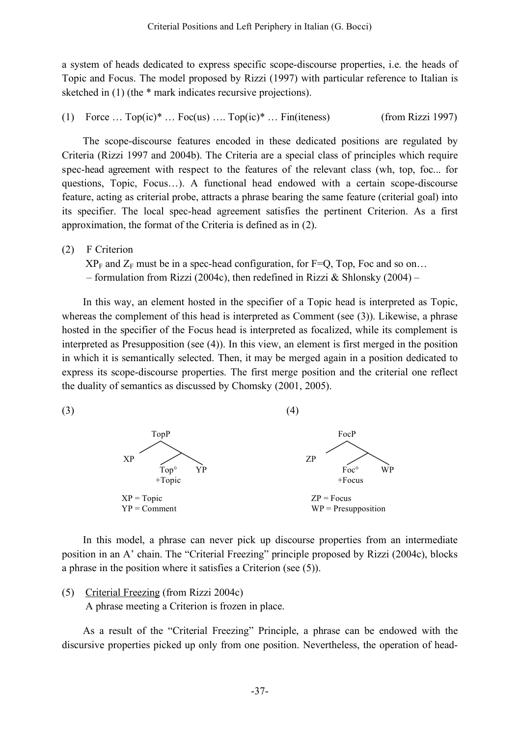a system of heads dedicated to express specific scope-discourse properties, i.e. the heads of Topic and Focus. The model proposed by Rizzi (1997) with particular reference to Italian is sketched in (1) (the  $*$  mark indicates recursive projections).

(1) Force  $\ldots$  Top(ic)<sup>\*</sup>  $\ldots$  Foc(us)  $\ldots$  Top(ic)<sup>\*</sup>  $\ldots$  Fin(iteness) (from Rizzi 1997)

The scope-discourse features encoded in these dedicated positions are regulated by Criteria (Rizzi 1997 and 2004b). The Criteria are a special class of principles which require spec-head agreement with respect to the features of the relevant class (wh, top, foc... for questions, Topic, Focus…). A functional head endowed with a certain scope-discourse feature, acting as criterial probe, attracts a phrase bearing the same feature (criterial goal) into its specifier. The local spec-head agreement satisfies the pertinent Criterion. As a first approximation, the format of the Criteria is defined as in (2).

(2) F Criterion

 $XP_F$  and  $Z_F$  must be in a spec-head configuration, for F=Q, Top, Foc and so on... – formulation from Rizzi (2004c), then redefined in Rizzi & Shlonsky (2004) –

In this way, an element hosted in the specifier of a Topic head is interpreted as Topic, whereas the complement of this head is interpreted as Comment (see (3)). Likewise, a phrase hosted in the specifier of the Focus head is interpreted as focalized, while its complement is interpreted as Presupposition (see (4)). In this view, an element is first merged in the position in which it is semantically selected. Then, it may be merged again in a position dedicated to express its scope-discourse properties. The first merge position and the criterial one reflect the duality of semantics as discussed by Chomsky (2001, 2005).



In this model, a phrase can never pick up discourse properties from an intermediate position in an A' chain. The "Criterial Freezing" principle proposed by Rizzi (2004c), blocks a phrase in the position where it satisfies a Criterion (see (5)).

(5) Criterial Freezing (from Rizzi 2004c)

A phrase meeting a Criterion is frozen in place.

As a result of the "Criterial Freezing" Principle, a phrase can be endowed with the discursive properties picked up only from one position. Nevertheless, the operation of head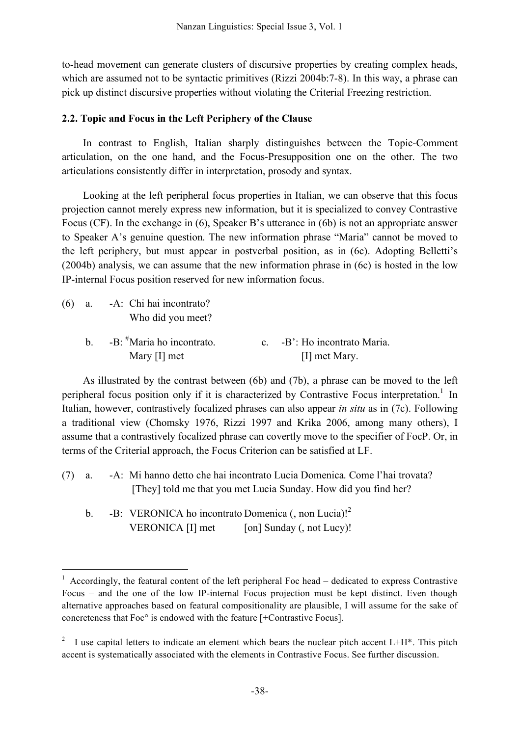to-head movement can generate clusters of discursive properties by creating complex heads, which are assumed not to be syntactic primitives (Rizzi 2004b:7-8). In this way, a phrase can pick up distinct discursive properties without violating the Criterial Freezing restriction.

# **2.2. Topic and Focus in the Left Periphery of the Clause**

In contrast to English, Italian sharply distinguishes between the Topic-Comment articulation, on the one hand, and the Focus-Presupposition one on the other. The two articulations consistently differ in interpretation, prosody and syntax.

Looking at the left peripheral focus properties in Italian, we can observe that this focus projection cannot merely express new information, but it is specialized to convey Contrastive Focus (CF). In the exchange in (6), Speaker B's utterance in (6b) is not an appropriate answer to Speaker A's genuine question. The new information phrase "Maria" cannot be moved to the left periphery, but must appear in postverbal position, as in (6c). Adopting Belletti's (2004b) analysis, we can assume that the new information phrase in (6c) is hosted in the low IP-internal Focus position reserved for new information focus.

- (6) a. -A: Chi hai incontrato? Who did you meet?
	- b.  $-B:$   $\#$ Maria ho incontrato.  $\epsilon$ . -B': Ho incontrato Maria. Mary [I] met  $\blacksquare$

As illustrated by the contrast between (6b) and (7b), a phrase can be moved to the left peripheral focus position only if it is characterized by Contrastive Focus interpretation.<sup>1</sup> In Italian, however, contrastively focalized phrases can also appear *in situ* as in (7c). Following a traditional view (Chomsky 1976, Rizzi 1997 and Krika 2006, among many others), I assume that a contrastively focalized phrase can covertly move to the specifier of FocP. Or, in terms of the Criterial approach, the Focus Criterion can be satisfied at LF.

- (7) a. -A: Mi hanno detto che hai incontrato Lucia Domenica. Come l'hai trovata? [They] told me that you met Lucia Sunday. How did you find her?
	- b. -B: VERONICA ho incontrato Domenica (, non Lucia)!<sup>2</sup> VERONICA  $[I]$  met  $[on]$  Sunday (, not Lucy)!

 $1$  Accordingly, the featural content of the left peripheral Foc head – dedicated to express Contrastive Focus – and the one of the low IP-internal Focus projection must be kept distinct. Even though alternative approaches based on featural compositionality are plausible, I will assume for the sake of concreteness that Foc° is endowed with the feature [+Contrastive Focus].

<sup>&</sup>lt;sup>2</sup> I use capital letters to indicate an element which bears the nuclear pitch accent L+H<sup>\*</sup>. This pitch accent is systematically associated with the elements in Contrastive Focus. See further discussion.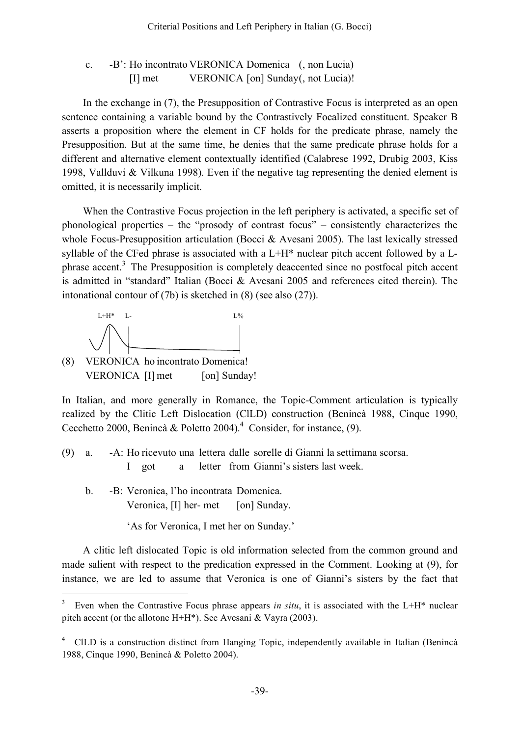# c. -B': Ho incontrato VERONICA Domenica (, non Lucia) [I] met VERONICA [on] Sunday(, not Lucia)!

In the exchange in (7), the Presupposition of Contrastive Focus is interpreted as an open sentence containing a variable bound by the Contrastively Focalized constituent. Speaker B asserts a proposition where the element in CF holds for the predicate phrase, namely the Presupposition. But at the same time, he denies that the same predicate phrase holds for a different and alternative element contextually identified (Calabrese 1992, Drubig 2003, Kiss 1998, Vallduví & Vilkuna 1998). Even if the negative tag representing the denied element is omitted, it is necessarily implicit.

When the Contrastive Focus projection in the left periphery is activated, a specific set of phonological properties – the "prosody of contrast focus" – consistently characterizes the whole Focus-Presupposition articulation (Bocci & Avesani 2005). The last lexically stressed syllable of the CFed phrase is associated with a L+H\* nuclear pitch accent followed by a Lphrase accent.<sup>3</sup> The Presupposition is completely deaccented since no postfocal pitch accent is admitted in "standard" Italian (Bocci & Avesani 2005 and references cited therein). The intonational contour of (7b) is sketched in (8) (see also (27)).



(8) VERONICA ho incontrato Domenica! VERONICA [I] met [on] Sunday!

In Italian, and more generally in Romance, the Topic-Comment articulation is typically realized by the Clitic Left Dislocation (ClLD) construction (Benincà 1988, Cinque 1990, Cecchetto 2000, Benincà & Poletto 2004). <sup>4</sup> Consider, for instance, (9).

- (9) a. -A: Ho ricevuto una lettera dalle sorelle di Gianni la settimana scorsa. I got a letter from Gianni's sisters last week.
	- b. -B: Veronica, l'ho incontrata Domenica. Veronica, [I] her- met [on] Sunday.

'As for Veronica, I met her on Sunday.'

A clitic left dislocated Topic is old information selected from the common ground and made salient with respect to the predication expressed in the Comment. Looking at (9), for instance, we are led to assume that Veronica is one of Gianni's sisters by the fact that

Even when the Contrastive Focus phrase appears *in situ*, it is associated with the L+H\* nuclear pitch accent (or the allotone H+H\*). See Avesani & Vayra (2003).

<sup>&</sup>lt;sup>4</sup> ClLD is a construction distinct from Hanging Topic, independently available in Italian (Benincà 1988, Cinque 1990, Benincà & Poletto 2004).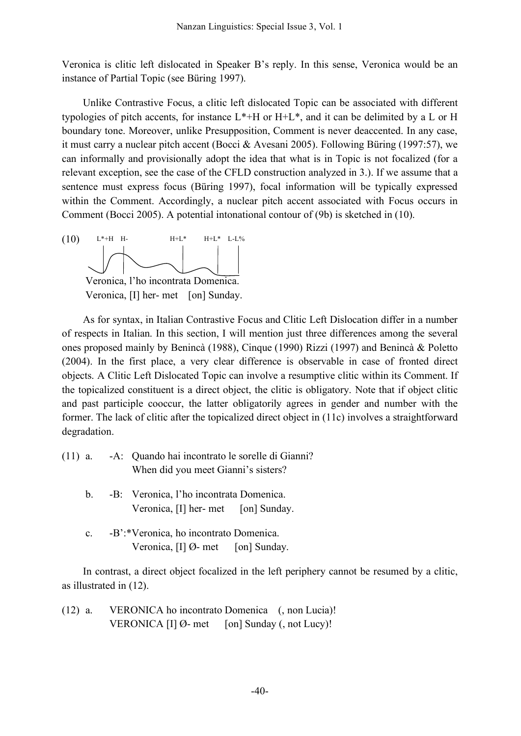Veronica is clitic left dislocated in Speaker B's reply. In this sense, Veronica would be an instance of Partial Topic (see Büring 1997).

Unlike Contrastive Focus, a clitic left dislocated Topic can be associated with different typologies of pitch accents, for instance  $L^*$ +H or  $H^+L^*$ , and it can be delimited by a L or H boundary tone. Moreover, unlike Presupposition, Comment is never deaccented. In any case, it must carry a nuclear pitch accent (Bocci & Avesani 2005). Following Büring (1997:57), we can informally and provisionally adopt the idea that what is in Topic is not focalized (for a relevant exception, see the case of the CFLD construction analyzed in 3.). If we assume that a sentence must express focus (Büring 1997), focal information will be typically expressed within the Comment. Accordingly, a nuclear pitch accent associated with Focus occurs in Comment (Bocci 2005). A potential intonational contour of (9b) is sketched in (10).



As for syntax, in Italian Contrastive Focus and Clitic Left Dislocation differ in a number of respects in Italian. In this section, I will mention just three differences among the several ones proposed mainly by Benincà (1988), Cinque (1990) Rizzi (1997) and Benincà & Poletto (2004). In the first place, a very clear difference is observable in case of fronted direct objects. A Clitic Left Dislocated Topic can involve a resumptive clitic within its Comment. If the topicalized constituent is a direct object, the clitic is obligatory. Note that if object clitic and past participle cooccur, the latter obligatorily agrees in gender and number with the former. The lack of clitic after the topicalized direct object in (11c) involves a straightforward degradation.

|  | (11) a. - A: Quando hai incontrato le sorelle di Gianni? |
|--|----------------------------------------------------------|
|  | When did you meet Gianni's sisters?                      |
|  |                                                          |

- b. -B: Veronica, l'ho incontrata Domenica. Veronica, [I] her- met [on] Sunday.
- c. -B':\*Veronica, ho incontrato Domenica. Veronica,  $[I]$  Ø- met [on] Sunday.

In contrast, a direct object focalized in the left periphery cannot be resumed by a clitic, as illustrated in (12).

(12) a. VERONICA ho incontrato Domenica (, non Lucia)! VERONICA  $[I]$   $\emptyset$ - met [on] Sunday (, not Lucy)!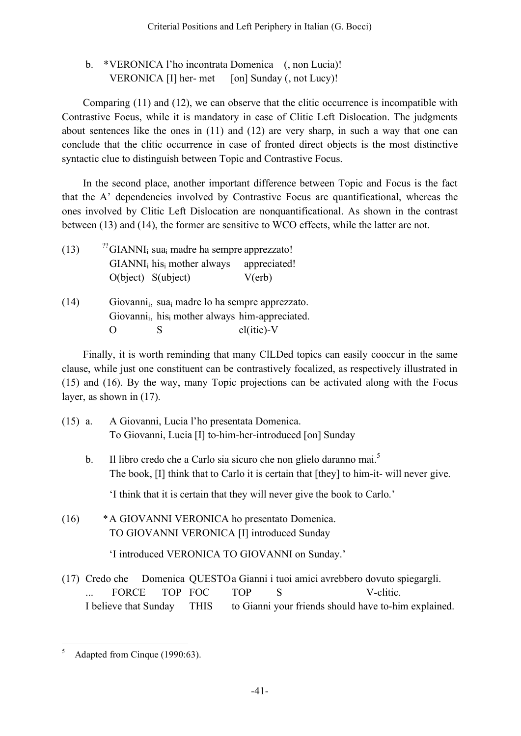# b. \*VERONICA l'ho incontrata Domenica (, non Lucia)! VERONICA  $[I]$  her- met  $[on]$  Sunday (, not Lucy)!

Comparing (11) and (12), we can observe that the clitic occurrence is incompatible with Contrastive Focus, while it is mandatory in case of Clitic Left Dislocation. The judgments about sentences like the ones in (11) and (12) are very sharp, in such a way that one can conclude that the clitic occurrence in case of fronted direct objects is the most distinctive syntactic clue to distinguish between Topic and Contrastive Focus.

In the second place, another important difference between Topic and Focus is the fact that the A' dependencies involved by Contrastive Focus are quantificational, whereas the ones involved by Clitic Left Dislocation are nonquantificational. As shown in the contrast between (13) and (14), the former are sensitive to WCO effects, while the latter are not.

| (13) | $^{22}$ GIANNI <sub>i</sub> sua <sub>i</sub> madre ha sempre apprezzato! |                 |  |  |
|------|--------------------------------------------------------------------------|-----------------|--|--|
|      | $GIANNIi hisi mother always appreciated!$                                |                 |  |  |
|      | $O(bject)$ S(ubject)                                                     | $V(\text{erb})$ |  |  |
|      |                                                                          |                 |  |  |

(14) Giovannii, suai madre lo ha sempre apprezzato. Giovanni<sub>i</sub>, his<sub>i</sub> mother always him-appreciated. O S cl(itic)-V

Finally, it is worth reminding that many ClLDed topics can easily cooccur in the same clause, while just one constituent can be contrastively focalized, as respectively illustrated in (15) and (16). By the way, many Topic projections can be activated along with the Focus layer, as shown in (17).

- (15) a. A Giovanni, Lucia l'ho presentata Domenica. To Giovanni, Lucia [I] to-him-her-introduced [on] Sunday
	- b. Il libro credo che a Carlo sia sicuro che non glielo daranno mai.<sup>5</sup> The book, [I] think that to Carlo it is certain that [they] to him-it- will never give.

'I think that it is certain that they will never give the book to Carlo.'

(16) \*A GIOVANNI VERONICA ho presentato Domenica. TO GIOVANNI VERONICA [I] introduced Sunday

'I introduced VERONICA TO GIOVANNI on Sunday.'

(17) Credo che Domenica QUESTOa Gianni i tuoi amici avrebbero dovuto spiegargli. ... FORCE TOP FOC TOP S V-clitic. I believe that Sunday THIS to Gianni your friends should have to-him explained.

Adapted from Cinque (1990:63).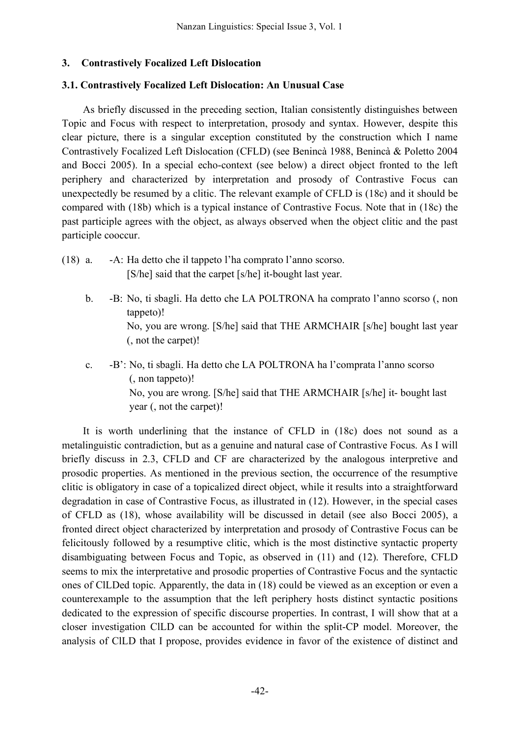### **3. Contrastively Focalized Left Dislocation**

### **3.1. Contrastively Focalized Left Dislocation: An Unusual Case**

As briefly discussed in the preceding section, Italian consistently distinguishes between Topic and Focus with respect to interpretation, prosody and syntax. However, despite this clear picture, there is a singular exception constituted by the construction which I name Contrastively Focalized Left Dislocation (CFLD) (see Benincà 1988, Benincà & Poletto 2004 and Bocci 2005). In a special echo-context (see below) a direct object fronted to the left periphery and characterized by interpretation and prosody of Contrastive Focus can unexpectedly be resumed by a clitic. The relevant example of CFLD is (18c) and it should be compared with (18b) which is a typical instance of Contrastive Focus. Note that in (18c) the past participle agrees with the object, as always observed when the object clitic and the past participle cooccur.

- (18) a. -A: Ha detto che il tappeto l'ha comprato l'anno scorso. [S/he] said that the carpet [s/he] it-bought last year.
	- b. -B: No, ti sbagli. Ha detto che LA POLTRONA ha comprato l'anno scorso (, non tappeto)! No, you are wrong. [S/he] said that THE ARMCHAIR [s/he] bought last year (, not the carpet)!
	- c. -B': No, ti sbagli. Ha detto che LA POLTRONA ha l'comprata l'anno scorso (, non tappeto)! No, you are wrong. [S/he] said that THE ARMCHAIR [s/he] it- bought last year (, not the carpet)!

It is worth underlining that the instance of CFLD in (18c) does not sound as a metalinguistic contradiction, but as a genuine and natural case of Contrastive Focus. As I will briefly discuss in 2.3, CFLD and CF are characterized by the analogous interpretive and prosodic properties. As mentioned in the previous section, the occurrence of the resumptive clitic is obligatory in case of a topicalized direct object, while it results into a straightforward degradation in case of Contrastive Focus, as illustrated in (12). However, in the special cases of CFLD as (18), whose availability will be discussed in detail (see also Bocci 2005), a fronted direct object characterized by interpretation and prosody of Contrastive Focus can be felicitously followed by a resumptive clitic, which is the most distinctive syntactic property disambiguating between Focus and Topic, as observed in (11) and (12). Therefore, CFLD seems to mix the interpretative and prosodic properties of Contrastive Focus and the syntactic ones of ClLDed topic. Apparently, the data in (18) could be viewed as an exception or even a counterexample to the assumption that the left periphery hosts distinct syntactic positions dedicated to the expression of specific discourse properties. In contrast, I will show that at a closer investigation ClLD can be accounted for within the split-CP model. Moreover, the analysis of ClLD that I propose, provides evidence in favor of the existence of distinct and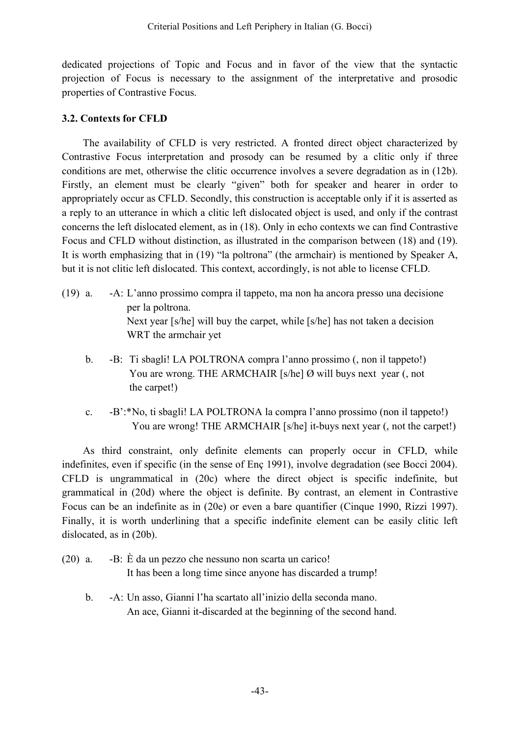dedicated projections of Topic and Focus and in favor of the view that the syntactic projection of Focus is necessary to the assignment of the interpretative and prosodic properties of Contrastive Focus.

### **3.2. Contexts for CFLD**

The availability of CFLD is very restricted. A fronted direct object characterized by Contrastive Focus interpretation and prosody can be resumed by a clitic only if three conditions are met, otherwise the clitic occurrence involves a severe degradation as in (12b). Firstly, an element must be clearly "given" both for speaker and hearer in order to appropriately occur as CFLD. Secondly, this construction is acceptable only if it is asserted as a reply to an utterance in which a clitic left dislocated object is used, and only if the contrast concerns the left dislocated element, as in (18). Only in echo contexts we can find Contrastive Focus and CFLD without distinction, as illustrated in the comparison between (18) and (19). It is worth emphasizing that in (19) "la poltrona" (the armchair) is mentioned by Speaker A, but it is not clitic left dislocated. This context, accordingly, is not able to license CFLD.

- (19) a. -A: L'anno prossimo compra il tappeto, ma non ha ancora presso una decisione per la poltrona. Next year [s/he] will buy the carpet, while [s/he] has not taken a decision WRT the armchair yet
	- b. -B: Ti sbagli! LA POLTRONA compra l'anno prossimo (, non il tappeto!) You are wrong. THE ARMCHAIR [s/he] Ø will buys next year (, not the carpet!)
	- c. -B':\*No, ti sbagli! LA POLTRONA la compra l'anno prossimo (non il tappeto!) You are wrong! THE ARMCHAIR [s/he] it-buys next year (, not the carpet!)

As third constraint, only definite elements can properly occur in CFLD, while indefinites, even if specific (in the sense of Enç 1991), involve degradation (see Bocci 2004). CFLD is ungrammatical in (20c) where the direct object is specific indefinite, but grammatical in (20d) where the object is definite. By contrast, an element in Contrastive Focus can be an indefinite as in (20e) or even a bare quantifier (Cinque 1990, Rizzi 1997). Finally, it is worth underlining that a specific indefinite element can be easily clitic left dislocated, as in (20b).

- (20) a. -B: È da un pezzo che nessuno non scarta un carico! It has been a long time since anyone has discarded a trump!
	- b. -A: Un asso, Gianni l'ha scartato all'inizio della seconda mano. An ace, Gianni it-discarded at the beginning of the second hand.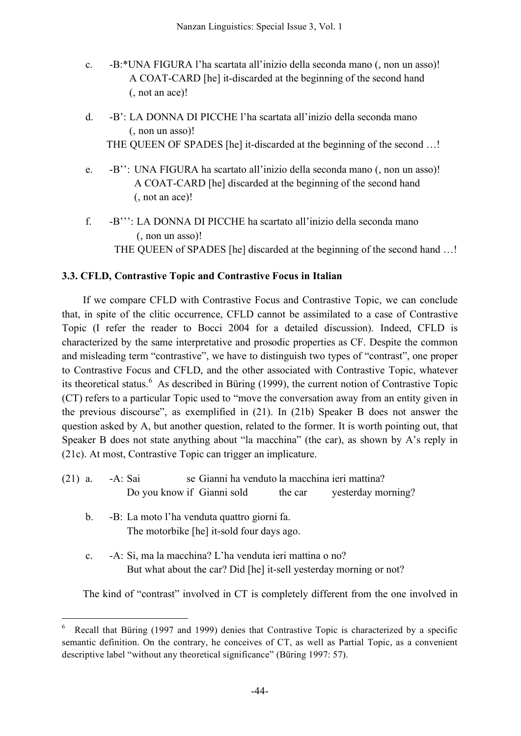- c. -B:\*UNA FIGURA l'ha scartata all'inizio della seconda mano (, non un asso)! A COAT-CARD [he] it-discarded at the beginning of the second hand (, not an ace)!
- d. -B': LA DONNA DI PICCHE l'ha scartata all'inizio della seconda mano (, non un asso)! THE QUEEN OF SPADES [he] it-discarded at the beginning of the second ...!
- e. -B'': UNA FIGURA ha scartato all'inizio della seconda mano (, non un asso)! A COAT-CARD [he] discarded at the beginning of the second hand (, not an ace)!
- f. -B''': LA DONNA DI PICCHE ha scartato all'inizio della seconda mano (, non un asso)! THE QUEEN of SPADES [he] discarded at the beginning of the second hand …!

# **3.3. CFLD, Contrastive Topic and Contrastive Focus in Italian**

If we compare CFLD with Contrastive Focus and Contrastive Topic, we can conclude that, in spite of the clitic occurrence, CFLD cannot be assimilated to a case of Contrastive Topic (I refer the reader to Bocci 2004 for a detailed discussion). Indeed, CFLD is characterized by the same interpretative and prosodic properties as CF. Despite the common and misleading term "contrastive", we have to distinguish two types of "contrast", one proper to Contrastive Focus and CFLD, and the other associated with Contrastive Topic, whatever its theoretical status. <sup>6</sup> As described in Büring (1999), the current notion of Contrastive Topic (CT) refers to a particular Topic used to "move the conversation away from an entity given in the previous discourse", as exemplified in (21). In (21b) Speaker B does not answer the question asked by A, but another question, related to the former. It is worth pointing out, that Speaker B does not state anything about "la macchina" (the car), as shown by A's reply in (21c). At most, Contrastive Topic can trigger an implicature.

- (21) a. -A: Sai se Gianni ha venduto la macchina ieri mattina? Do you know if Gianni sold the car yesterday morning?
	- b. -B: La moto l'ha venduta quattro giorni fa. The motorbike [he] it-sold four days ago.
	- c. -A: Si, ma la macchina? L'ha venduta ieri mattina o no? But what about the car? Did [he] it-sell yesterday morning or not?

The kind of "contrast" involved in CT is completely different from the one involved in

 <sup>6</sup> Recall that Büring (1997 and 1999) denies that Contrastive Topic is characterized by <sup>a</sup> specific semantic definition. On the contrary, he conceives of CT, as well as Partial Topic, as a convenient descriptive label "without any theoretical significance" (Büring 1997: 57).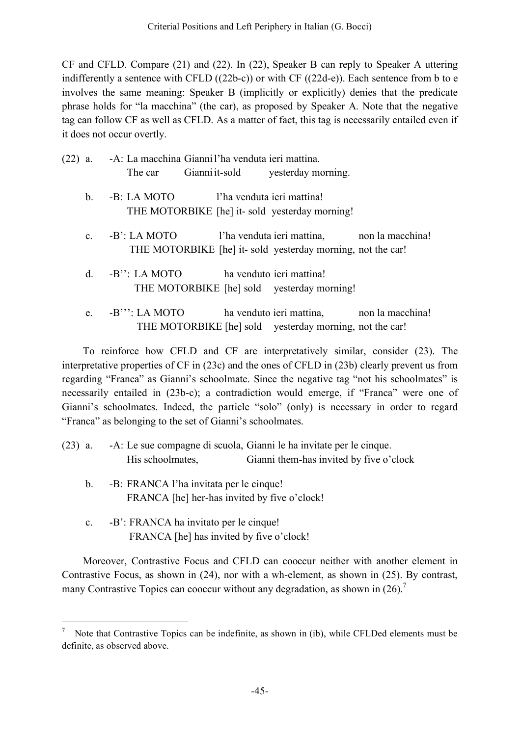CF and CFLD. Compare (21) and (22). In (22), Speaker B can reply to Speaker A uttering indifferently a sentence with CFLD ((22b-c)) or with CF ((22d-e)). Each sentence from b to e involves the same meaning: Speaker B (implicitly or explicitly) denies that the predicate phrase holds for "la macchina" (the car), as proposed by Speaker A. Note that the negative tag can follow CF as well as CFLD. As a matter of fact, this tag is necessarily entailed even if it does not occur overtly.

|  |         | (22) a. - A: La macchina Gianni l'ha venduta ieri mattina.        |  |  |  |
|--|---------|-------------------------------------------------------------------|--|--|--|
|  |         | The car Gianni it-sold yesterday morning.                         |  |  |  |
|  | $b_{1}$ | -B: LA MOTO l'ha venduta ieri mattina!                            |  |  |  |
|  |         | THE MOTORBIKE [he] it- sold yesterday morning!                    |  |  |  |
|  |         | c. $-B'$ : LA MOTO<br>l'ha venduta ieri mattina, non la macchina! |  |  |  |
|  |         | THE MOTORBIKE [he] it- sold yesterday morning, not the car!       |  |  |  |
|  |         | ha venduto ieri mattina!<br>d. $-B$ ": LA MOTO                    |  |  |  |
|  |         | THE MOTORBIKE [he] sold yesterday morning!                        |  |  |  |
|  |         | e. $-B''$ : LA MOTO<br>ha venduto ieri mattina, non la macchina!  |  |  |  |
|  |         | THE MOTORBIKE [he] sold yesterday morning, not the car!           |  |  |  |

To reinforce how CFLD and CF are interpretatively similar, consider (23). The interpretative properties of CF in (23c) and the ones of CFLD in (23b) clearly prevent us from regarding "Franca" as Gianni's schoolmate. Since the negative tag "not his schoolmates" is necessarily entailed in (23b-c); a contradiction would emerge, if "Franca" were one of Gianni's schoolmates. Indeed, the particle "solo" (only) is necessary in order to regard "Franca" as belonging to the set of Gianni's schoolmates.

- (23) a. -A: Le sue compagne di scuola, Gianni le ha invitate per le cinque. His schoolmates, Gianni them-has invited by five o'clock
	- b. -B: FRANCA l'ha invitata per le cinque! FRANCA [he] her-has invited by five o'clock!
	- c. -B': FRANCA ha invitato per le cinque! FRANCA [he] has invited by five o'clock!

Moreover, Contrastive Focus and CFLD can cooccur neither with another element in Contrastive Focus, as shown in (24), nor with a wh-element, as shown in (25). By contrast, many Contrastive Topics can cooccur without any degradation, as shown in  $(26)$ .<sup>7</sup>

 <sup>7</sup> Note that Contrastive Topics can be indefinite, as shown in (ib), while CFLDed elements must be definite, as observed above.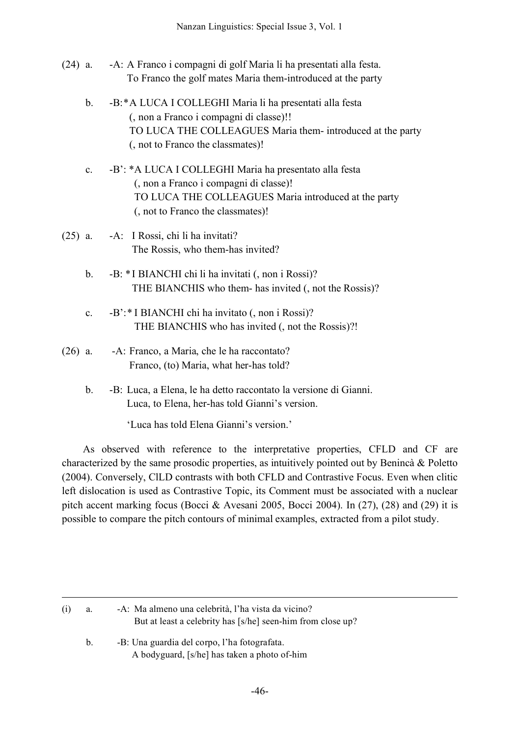- (24) a. -A: A Franco i compagni di golf Maria li ha presentati alla festa. To Franco the golf mates Maria them-introduced at the party
	- b. -B:\*A LUCA I COLLEGHI Maria li ha presentati alla festa (, non a Franco i compagni di classe)!! TO LUCA THE COLLEAGUES Maria them- introduced at the party (, not to Franco the classmates)!
	- c. -B': \*A LUCA I COLLEGHI Maria ha presentato alla festa (, non a Franco i compagni di classe)! TO LUCA THE COLLEAGUES Maria introduced at the party (, not to Franco the classmates)!
- (25) a. -A: I Rossi, chi li ha invitati? The Rossis, who them-has invited?
	- b. -B: \*I BIANCHI chi li ha invitati (, non i Rossi)? THE BIANCHIS who them- has invited (, not the Rossis)?
	- c. -B':\* I BIANCHI chi ha invitato (, non i Rossi)? THE BIANCHIS who has invited (, not the Rossis)?!
- (26) a. -A: Franco, a Maria, che le ha raccontato? Franco, (to) Maria, what her-has told?
	- b. -B: Luca, a Elena, le ha detto raccontato la versione di Gianni. Luca, to Elena, her-has told Gianni's version.

'Luca has told Elena Gianni's version.'

As observed with reference to the interpretative properties, CFLD and CF are characterized by the same prosodic properties, as intuitively pointed out by Benincà & Poletto (2004). Conversely, ClLD contrasts with both CFLD and Contrastive Focus. Even when clitic left dislocation is used as Contrastive Topic, its Comment must be associated with a nuclear pitch accent marking focus (Bocci & Avesani 2005, Bocci 2004). In  $(27)$ ,  $(28)$  and  $(29)$  it is possible to compare the pitch contours of minimal examples, extracted from a pilot study.

b. -B: Una guardia del corpo, l'ha fotografata. A bodyguard, [s/he] has taken a photo of-him

1

<sup>(</sup>i) a. -A: Ma almeno una celebrità, l'ha vista da vicino? But at least a celebrity has [s/he] seen-him from close up?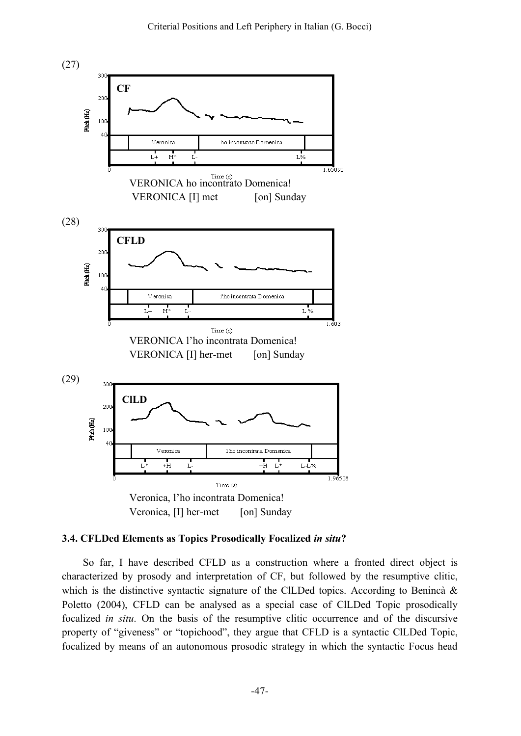

#### **3.4. CFLDed Elements as Topics Prosodically Focalized** *in situ***?**

So far, I have described CFLD as a construction where a fronted direct object is characterized by prosody and interpretation of CF, but followed by the resumptive clitic, which is the distinctive syntactic signature of the ClLDed topics. According to Benincà  $\&$ Poletto (2004), CFLD can be analysed as a special case of ClLDed Topic prosodically focalized *in situ*. On the basis of the resumptive clitic occurrence and of the discursive property of "giveness" or "topichood", they argue that CFLD is a syntactic ClLDed Topic, focalized by means of an autonomous prosodic strategy in which the syntactic Focus head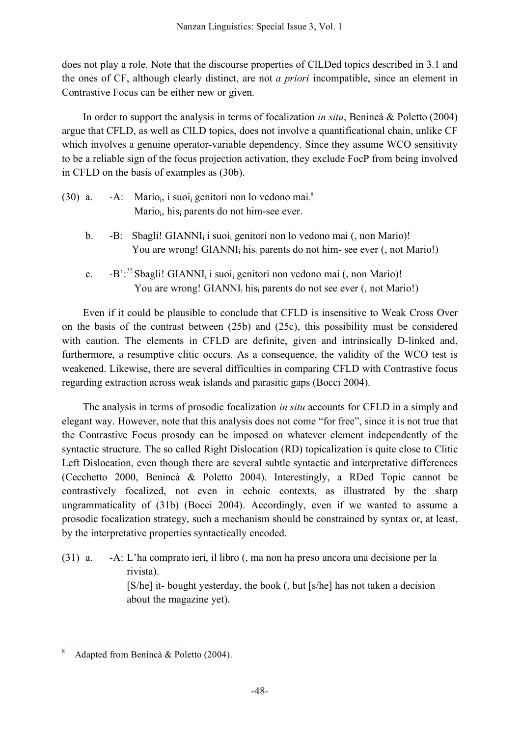does not play a role. Note that the discourse properties of ClLDed topics described in 3.1 and the ones of CF, although clearly distinct, are not *a priori* incompatible, since an element in Contrastive Focus can be either new or given.

In order to support the analysis in terms of focalization *in situ*, Benincà & Poletto (2004) argue that CFLD, as well as ClLD topics, does not involve a quantificational chain, unlike CF which involves a genuine operator-variable dependency. Since they assume WCO sensitivity to be a reliable sign of the focus projection activation, they exclude FocP from being involved in CFLD on the basis of examples as (30b).

| $(30)$ a. | $-A$ : Mario <sub>i</sub> , i suoi <sub>i</sub> genitori non lo vedono mai. <sup>8</sup> |
|-----------|------------------------------------------------------------------------------------------|
|           | Mario <sub>i</sub> , his <sub>i</sub> parents do not him-see ever.                       |

- b. -B: Sbagli! GIANNI<sub>i</sub> i suoi<sub>i</sub> genitori non lo vedono mai (, non Mario)! You are wrong! GIANNI<sub>i</sub> his<sub>i</sub> parents do not him- see ever (, not Mario!)
- c.  $-B'$ :<sup>22</sup> Sbagli! GIANNI<sub>i</sub> i suoi<sub>i</sub> genitori non vedono mai (, non Mario)! You are wrong!  $GIANNI<sub>i</sub> his<sub>i</sub> parents do not see ever (, not Mario!)$

Even if it could be plausible to conclude that CFLD is insensitive to Weak Cross Over on the basis of the contrast between (25b) and (25c), this possibility must be considered with caution. The elements in CFLD are definite, given and intrinsically D-linked and, furthermore, a resumptive clitic occurs. As a consequence, the validity of the WCO test is weakened. Likewise, there are several difficulties in comparing CFLD with Contrastive focus regarding extraction across weak islands and parasitic gaps (Bocci 2004).

The analysis in terms of prosodic focalization *in situ* accounts for CFLD in a simply and elegant way. However, note that this analysis does not come "for free", since it is not true that the Contrastive Focus prosody can be imposed on whatever element independently of the syntactic structure. The so called Right Dislocation (RD) topicalization is quite close to Clitic Left Dislocation, even though there are several subtle syntactic and interpretative differences (Cecchetto 2000, Benincà & Poletto 2004). Interestingly, a RDed Topic cannot be contrastively focalized, not even in echoic contexts, as illustrated by the sharp ungrammaticality of (31b) (Bocci 2004). Accordingly, even if we wanted to assume a prosodic focalization strategy, such a mechanism should be constrained by syntax or, at least, by the interpretative properties syntactically encoded.

(31) a. -A: L'ha comprato ieri, il libro (, ma non ha preso ancora una decisione per la rivista). [S/he] it- bought yesterday, the book (, but [s/he] has not taken a decision about the magazine yet).

Adapted from Benincà & Poletto (2004).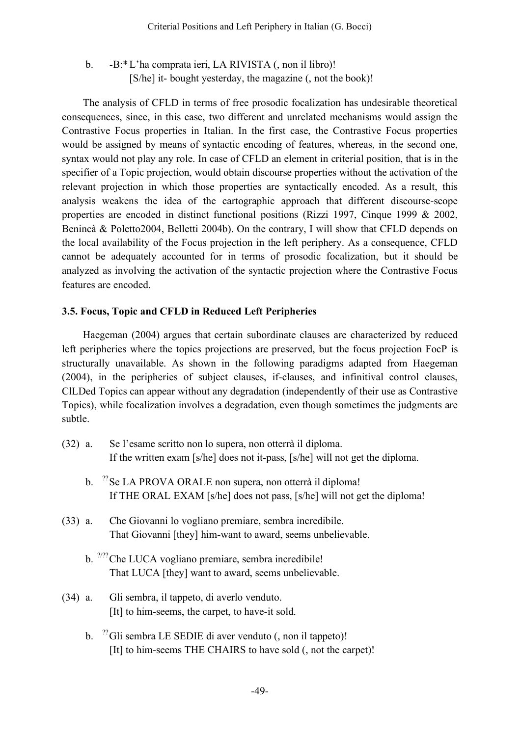b. -B:\*L'ha comprata ieri, LA RIVISTA (, non il libro)! [S/he] it- bought yesterday, the magazine (, not the book)!

The analysis of CFLD in terms of free prosodic focalization has undesirable theoretical consequences, since, in this case, two different and unrelated mechanisms would assign the Contrastive Focus properties in Italian. In the first case, the Contrastive Focus properties would be assigned by means of syntactic encoding of features, whereas, in the second one, syntax would not play any role. In case of CFLD an element in criterial position, that is in the specifier of a Topic projection, would obtain discourse properties without the activation of the relevant projection in which those properties are syntactically encoded. As a result, this analysis weakens the idea of the cartographic approach that different discourse-scope properties are encoded in distinct functional positions (Rizzi 1997, Cinque 1999 & 2002, Benincà & Poletto2004, Belletti 2004b). On the contrary, I will show that CFLD depends on the local availability of the Focus projection in the left periphery. As a consequence, CFLD cannot be adequately accounted for in terms of prosodic focalization, but it should be analyzed as involving the activation of the syntactic projection where the Contrastive Focus features are encoded.

### **3.5. Focus, Topic and CFLD in Reduced Left Peripheries**

Haegeman (2004) argues that certain subordinate clauses are characterized by reduced left peripheries where the topics projections are preserved, but the focus projection FocP is structurally unavailable. As shown in the following paradigms adapted from Haegeman (2004), in the peripheries of subject clauses, if-clauses, and infinitival control clauses, ClLDed Topics can appear without any degradation (independently of their use as Contrastive Topics), while focalization involves a degradation, even though sometimes the judgments are subtle.

- (32) a. Se l'esame scritto non lo supera, non otterrà il diploma. If the written exam [s/he] does not it-pass, [s/he] will not get the diploma.
	- b.  $^{27}$ Se LA PROVA ORALE non supera, non otterrà il diploma! If THE ORAL EXAM [s/he] does not pass, [s/he] will not get the diploma!
- (33) a. Che Giovanni lo vogliano premiare, sembra incredibile. That Giovanni [they] him-want to award, seems unbelievable.
	- b. <sup>2/22</sup> Che LUCA vogliano premiare, sembra incredibile! That LUCA [they] want to award, seems unbelievable.
- (34) a. Gli sembra, il tappeto, di averlo venduto. [It] to him-seems, the carpet, to have-it sold.
	- b.  $\frac{27}{3}$ Gli sembra LE SEDIE di aver venduto (, non il tappeto)! [It] to him-seems THE CHAIRS to have sold (, not the carpet)!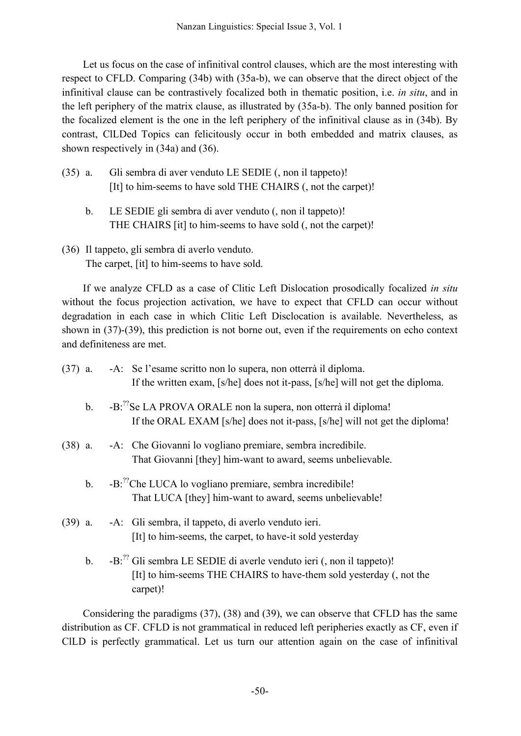Let us focus on the case of infinitival control clauses, which are the most interesting with respect to CFLD. Comparing (34b) with (35a-b), we can observe that the direct object of the infinitival clause can be contrastively focalized both in thematic position, i.e. *in situ*, and in the left periphery of the matrix clause, as illustrated by (35a-b). The only banned position for the focalized element is the one in the left periphery of the infinitival clause as in (34b). By contrast, ClLDed Topics can felicitously occur in both embedded and matrix clauses, as shown respectively in (34a) and (36).

- (35) a. Gli sembra di aver venduto LE SEDIE (, non il tappeto)! [It] to him-seems to have sold THE CHAIRS (, not the carpet)!
	- b. LE SEDIE gli sembra di aver venduto (, non il tappeto)! THE CHAIRS [it] to him-seems to have sold (, not the carpet)!
- (36) Il tappeto, gli sembra di averlo venduto. The carpet, [it] to him-seems to have sold.

If we analyze CFLD as a case of Clitic Left Dislocation prosodically focalized *in situ* without the focus projection activation, we have to expect that CFLD can occur without degradation in each case in which Clitic Left Disclocation is available. Nevertheless, as shown in (37)-(39), this prediction is not borne out, even if the requirements on echo context and definiteness are met.

|                | (37) a. - A: Se l'esame scritto non lo supera, non otterrà il diploma.<br>If the written exam, [s/he] does not it-pass, [s/he] will not get the diploma.            |
|----------------|---------------------------------------------------------------------------------------------------------------------------------------------------------------------|
| b <sub>1</sub> | -B: <sup>22</sup> Se LA PROVA ORALE non la supera, non otterrà il diploma!<br>If the ORAL EXAM [s/he] does not it-pass, [s/he] will not get the diploma!            |
|                | (38) a. - A: Che Giovanni lo vogliano premiare, sembra incredibile.<br>That Giovanni [they] him-want to award, seems unbelievable.                                  |
| $b_{\cdot}$    | -B: <sup>22</sup> Che LUCA lo vogliano premiare, sembra incredibile!<br>That LUCA [they] him-want to award, seems unbelievable!                                     |
|                | (39) a. - A: Gli sembra, il tappeto, di averlo venduto ieri.<br>[It] to him-seems, the carpet, to have-it sold yesterday                                            |
| b <sub>1</sub> | -B: <sup>22</sup> Gli sembra LE SEDIE di averle venduto ieri (, non il tappeto)!<br>[It] to him-seems THE CHAIRS to have-them sold yesterday (, not the<br>carpet)! |

Considering the paradigms (37), (38) and (39), we can observe that CFLD has the same distribution as CF. CFLD is not grammatical in reduced left peripheries exactly as CF, even if ClLD is perfectly grammatical. Let us turn our attention again on the case of infinitival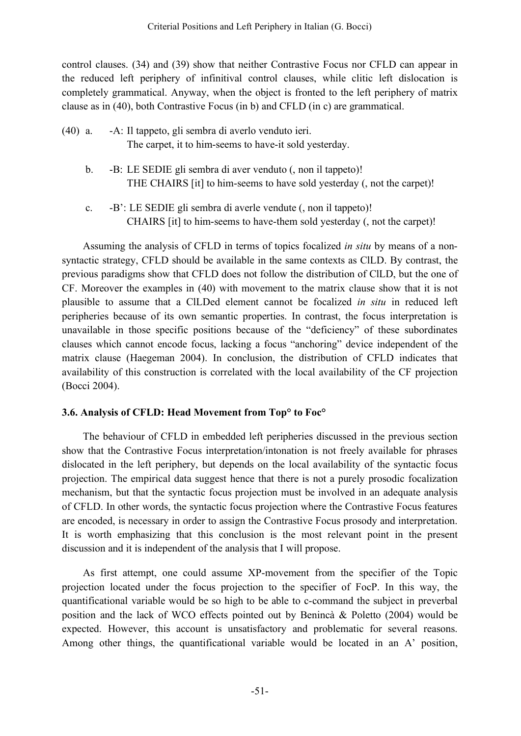control clauses. (34) and (39) show that neither Contrastive Focus nor CFLD can appear in the reduced left periphery of infinitival control clauses, while clitic left dislocation is completely grammatical. Anyway, when the object is fronted to the left periphery of matrix clause as in (40), both Contrastive Focus (in b) and CFLD (in c) are grammatical.

- (40) a. -A: Il tappeto, gli sembra di averlo venduto ieri. The carpet, it to him-seems to have-it sold yesterday.
	- b. -B: LE SEDIE gli sembra di aver venduto (, non il tappeto)! THE CHAIRS [it] to him-seems to have sold yesterday (, not the carpet)!
	- c. -B': LE SEDIE gli sembra di averle vendute (, non il tappeto)! CHAIRS [it] to him-seems to have-them sold yesterday (, not the carpet)!

Assuming the analysis of CFLD in terms of topics focalized *in situ* by means of a nonsyntactic strategy, CFLD should be available in the same contexts as ClLD. By contrast, the previous paradigms show that CFLD does not follow the distribution of ClLD, but the one of CF. Moreover the examples in (40) with movement to the matrix clause show that it is not plausible to assume that a ClLDed element cannot be focalized *in situ* in reduced left peripheries because of its own semantic properties. In contrast, the focus interpretation is unavailable in those specific positions because of the "deficiency" of these subordinates clauses which cannot encode focus, lacking a focus "anchoring" device independent of the matrix clause (Haegeman 2004). In conclusion, the distribution of CFLD indicates that availability of this construction is correlated with the local availability of the CF projection (Bocci 2004).

### **3.6. Analysis of CFLD: Head Movement from Top° to Foc°**

The behaviour of CFLD in embedded left peripheries discussed in the previous section show that the Contrastive Focus interpretation/intonation is not freely available for phrases dislocated in the left periphery, but depends on the local availability of the syntactic focus projection. The empirical data suggest hence that there is not a purely prosodic focalization mechanism, but that the syntactic focus projection must be involved in an adequate analysis of CFLD. In other words, the syntactic focus projection where the Contrastive Focus features are encoded, is necessary in order to assign the Contrastive Focus prosody and interpretation. It is worth emphasizing that this conclusion is the most relevant point in the present discussion and it is independent of the analysis that I will propose.

As first attempt, one could assume XP-movement from the specifier of the Topic projection located under the focus projection to the specifier of FocP. In this way, the quantificational variable would be so high to be able to c-command the subject in preverbal position and the lack of WCO effects pointed out by Benincà & Poletto (2004) would be expected. However, this account is unsatisfactory and problematic for several reasons. Among other things, the quantificational variable would be located in an A' position,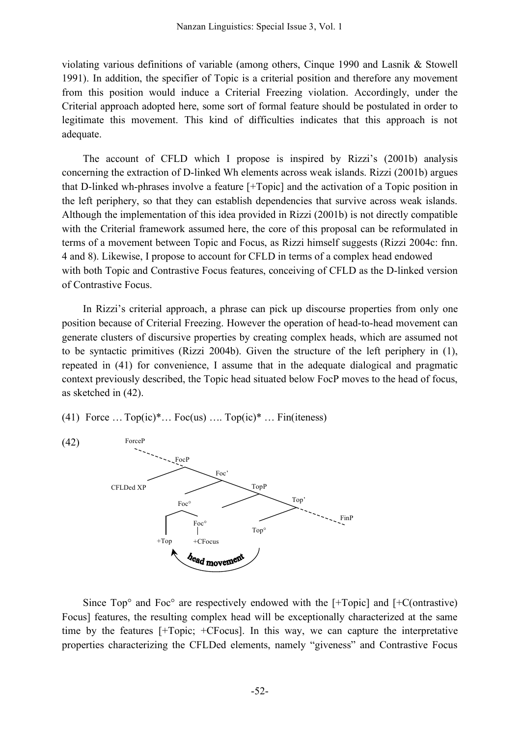violating various definitions of variable (among others, Cinque 1990 and Lasnik & Stowell 1991). In addition, the specifier of Topic is a criterial position and therefore any movement from this position would induce a Criterial Freezing violation. Accordingly, under the Criterial approach adopted here, some sort of formal feature should be postulated in order to legitimate this movement. This kind of difficulties indicates that this approach is not adequate.

The account of CFLD which I propose is inspired by Rizzi's (2001b) analysis concerning the extraction of D-linked Wh elements across weak islands. Rizzi (2001b) argues that D-linked wh-phrases involve a feature [+Topic] and the activation of a Topic position in the left periphery, so that they can establish dependencies that survive across weak islands. Although the implementation of this idea provided in Rizzi (2001b) is not directly compatible with the Criterial framework assumed here, the core of this proposal can be reformulated in terms of a movement between Topic and Focus, as Rizzi himself suggests (Rizzi 2004c: fnn. 4 and 8). Likewise, I propose to account for CFLD in terms of a complex head endowed with both Topic and Contrastive Focus features, conceiving of CFLD as the D-linked version of Contrastive Focus.

In Rizzi's criterial approach, a phrase can pick up discourse properties from only one position because of Criterial Freezing. However the operation of head-to-head movement can generate clusters of discursive properties by creating complex heads, which are assumed not to be syntactic primitives (Rizzi 2004b). Given the structure of the left periphery in (1), repeated in (41) for convenience, I assume that in the adequate dialogical and pragmatic context previously described, the Topic head situated below FocP moves to the head of focus, as sketched in (42).

(41) Force  $\ldots$  Top(ic)\* $\ldots$  Foc(us)  $\ldots$  Top(ic)\* $\ldots$  Fin(iteness)



Since Top° and Foc° are respectively endowed with the [+Topic] and [+C(ontrastive) Focus] features, the resulting complex head will be exceptionally characterized at the same time by the features [+Topic; +CFocus]. In this way, we can capture the interpretative properties characterizing the CFLDed elements, namely "giveness" and Contrastive Focus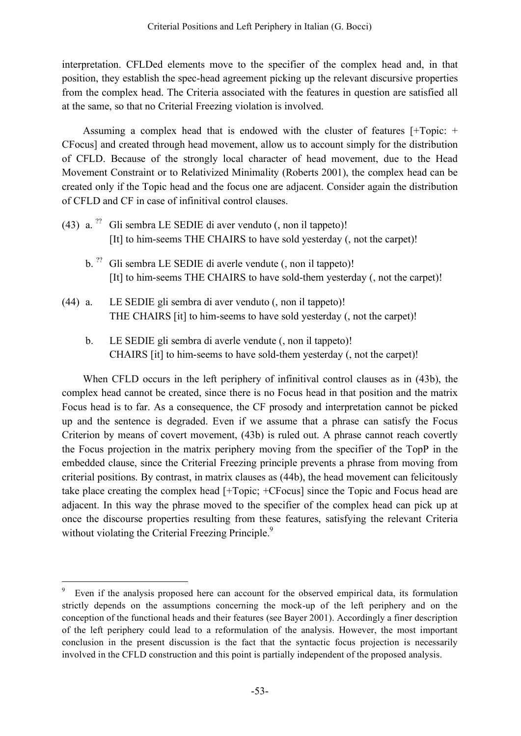interpretation. CFLDed elements move to the specifier of the complex head and, in that position, they establish the spec-head agreement picking up the relevant discursive properties from the complex head. The Criteria associated with the features in question are satisfied all at the same, so that no Criterial Freezing violation is involved.

Assuming a complex head that is endowed with the cluster of features [+Topic: + CFocus] and created through head movement, allow us to account simply for the distribution of CFLD. Because of the strongly local character of head movement, due to the Head Movement Constraint or to Relativized Minimality (Roberts 2001), the complex head can be created only if the Topic head and the focus one are adjacent. Consider again the distribution of CFLD and CF in case of infinitival control clauses.

- (43) a.  $\frac{7}{2}$  Gli sembra LE SEDIE di aver venduto (, non il tappeto)! [It] to him-seems THE CHAIRS to have sold yesterday (, not the carpet)!
	- b. ?? Gli sembra LE SEDIE di averle vendute (, non il tappeto)! [It] to him-seems THE CHAIRS to have sold-them yesterday (, not the carpet)!
- (44) a. LE SEDIE gli sembra di aver venduto (, non il tappeto)! THE CHAIRS [it] to him-seems to have sold yesterday (, not the carpet)!
	- b. LE SEDIE gli sembra di averle vendute (, non il tappeto)! CHAIRS [it] to him-seems to have sold-them yesterday (, not the carpet)!

When CFLD occurs in the left periphery of infinitival control clauses as in (43b), the complex head cannot be created, since there is no Focus head in that position and the matrix Focus head is to far. As a consequence, the CF prosody and interpretation cannot be picked up and the sentence is degraded. Even if we assume that a phrase can satisfy the Focus Criterion by means of covert movement, (43b) is ruled out. A phrase cannot reach covertly the Focus projection in the matrix periphery moving from the specifier of the TopP in the embedded clause, since the Criterial Freezing principle prevents a phrase from moving from criterial positions. By contrast, in matrix clauses as (44b), the head movement can felicitously take place creating the complex head [+Topic; +CFocus] since the Topic and Focus head are adjacent. In this way the phrase moved to the specifier of the complex head can pick up at once the discourse properties resulting from these features, satisfying the relevant Criteria without violating the Criterial Freezing Principle.<sup>9</sup>

Even if the analysis proposed here can account for the observed empirical data, its formulation strictly depends on the assumptions concerning the mock-up of the left periphery and on the conception of the functional heads and their features (see Bayer 2001). Accordingly a finer description of the left periphery could lead to a reformulation of the analysis. However, the most important conclusion in the present discussion is the fact that the syntactic focus projection is necessarily involved in the CFLD construction and this point is partially independent of the proposed analysis.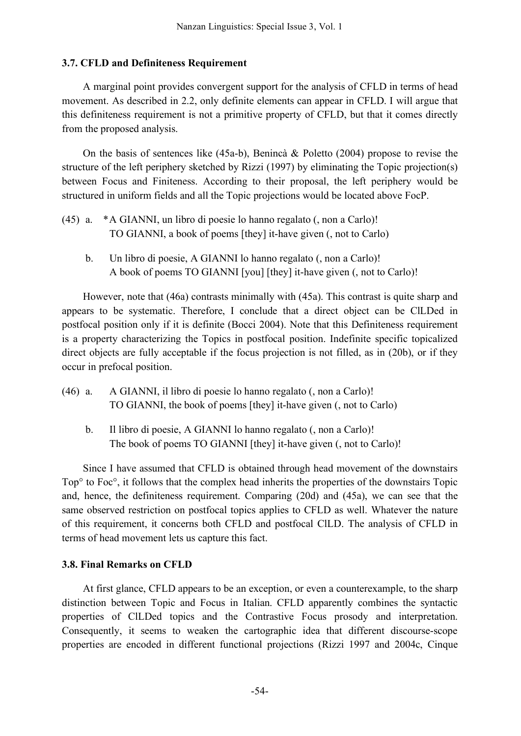#### **3.7. CFLD and Definiteness Requirement**

A marginal point provides convergent support for the analysis of CFLD in terms of head movement. As described in 2.2, only definite elements can appear in CFLD. I will argue that this definiteness requirement is not a primitive property of CFLD, but that it comes directly from the proposed analysis.

On the basis of sentences like (45a-b), Benincà & Poletto (2004) propose to revise the structure of the left periphery sketched by Rizzi (1997) by eliminating the Topic projection(s) between Focus and Finiteness. According to their proposal, the left periphery would be structured in uniform fields and all the Topic projections would be located above FocP.

- (45) a. \*A GIANNI, un libro di poesie lo hanno regalato (, non a Carlo)! TO GIANNI, a book of poems [they] it-have given (, not to Carlo)
	- b. Un libro di poesie, A GIANNI lo hanno regalato (, non a Carlo)! A book of poems TO GIANNI [you] [they] it-have given (, not to Carlo)!

However, note that (46a) contrasts minimally with (45a). This contrast is quite sharp and appears to be systematic. Therefore, I conclude that a direct object can be ClLDed in postfocal position only if it is definite (Bocci 2004). Note that this Definiteness requirement is a property characterizing the Topics in postfocal position. Indefinite specific topicalized direct objects are fully acceptable if the focus projection is not filled, as in (20b), or if they occur in prefocal position.

- (46) a. A GIANNI, il libro di poesie lo hanno regalato (, non a Carlo)! TO GIANNI, the book of poems [they] it-have given (, not to Carlo)
	- b. Il libro di poesie, A GIANNI lo hanno regalato (, non a Carlo)! The book of poems TO GIANNI [they] it-have given (, not to Carlo)!

Since I have assumed that CFLD is obtained through head movement of the downstairs Top° to Foc°, it follows that the complex head inherits the properties of the downstairs Topic and, hence, the definiteness requirement. Comparing (20d) and (45a), we can see that the same observed restriction on postfocal topics applies to CFLD as well. Whatever the nature of this requirement, it concerns both CFLD and postfocal ClLD. The analysis of CFLD in terms of head movement lets us capture this fact.

### **3.8. Final Remarks on CFLD**

At first glance, CFLD appears to be an exception, or even a counterexample, to the sharp distinction between Topic and Focus in Italian. CFLD apparently combines the syntactic properties of ClLDed topics and the Contrastive Focus prosody and interpretation. Consequently, it seems to weaken the cartographic idea that different discourse-scope properties are encoded in different functional projections (Rizzi 1997 and 2004c, Cinque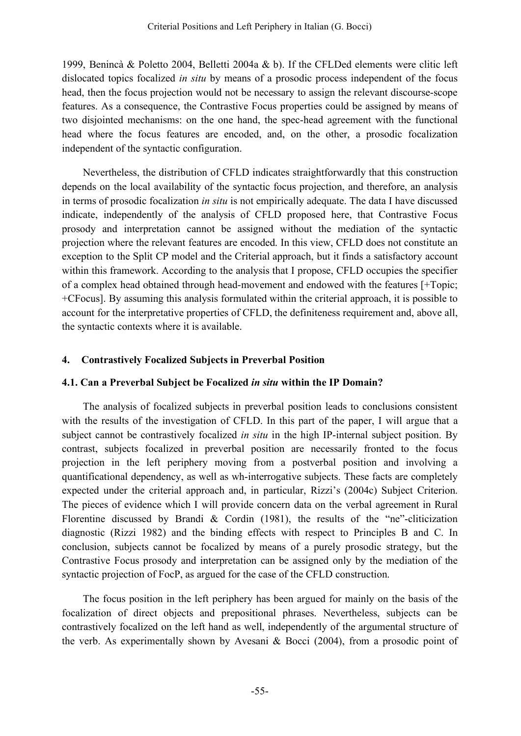1999, Benincà & Poletto 2004, Belletti 2004a & b). If the CFLDed elements were clitic left dislocated topics focalized *in situ* by means of a prosodic process independent of the focus head, then the focus projection would not be necessary to assign the relevant discourse-scope features. As a consequence, the Contrastive Focus properties could be assigned by means of two disjointed mechanisms: on the one hand, the spec-head agreement with the functional head where the focus features are encoded, and, on the other, a prosodic focalization independent of the syntactic configuration.

Nevertheless, the distribution of CFLD indicates straightforwardly that this construction depends on the local availability of the syntactic focus projection, and therefore, an analysis in terms of prosodic focalization *in situ* is not empirically adequate. The data I have discussed indicate, independently of the analysis of CFLD proposed here, that Contrastive Focus prosody and interpretation cannot be assigned without the mediation of the syntactic projection where the relevant features are encoded. In this view, CFLD does not constitute an exception to the Split CP model and the Criterial approach, but it finds a satisfactory account within this framework. According to the analysis that I propose, CFLD occupies the specifier of a complex head obtained through head-movement and endowed with the features [+Topic; +CFocus]. By assuming this analysis formulated within the criterial approach, it is possible to account for the interpretative properties of CFLD, the definiteness requirement and, above all, the syntactic contexts where it is available.

### **4. Contrastively Focalized Subjects in Preverbal Position**

### **4.1. Can a Preverbal Subject be Focalized** *in situ* **within the IP Domain?**

The analysis of focalized subjects in preverbal position leads to conclusions consistent with the results of the investigation of CFLD. In this part of the paper, I will argue that a subject cannot be contrastively focalized *in situ* in the high IP-internal subject position. By contrast, subjects focalized in preverbal position are necessarily fronted to the focus projection in the left periphery moving from a postverbal position and involving a quantificational dependency, as well as wh-interrogative subjects. These facts are completely expected under the criterial approach and, in particular, Rizzi's (2004c) Subject Criterion. The pieces of evidence which I will provide concern data on the verbal agreement in Rural Florentine discussed by Brandi & Cordin (1981), the results of the "ne"-cliticization diagnostic (Rizzi 1982) and the binding effects with respect to Principles B and C. In conclusion, subjects cannot be focalized by means of a purely prosodic strategy, but the Contrastive Focus prosody and interpretation can be assigned only by the mediation of the syntactic projection of FocP, as argued for the case of the CFLD construction.

The focus position in the left periphery has been argued for mainly on the basis of the focalization of direct objects and prepositional phrases. Nevertheless, subjects can be contrastively focalized on the left hand as well, independently of the argumental structure of the verb. As experimentally shown by Avesani & Bocci (2004), from a prosodic point of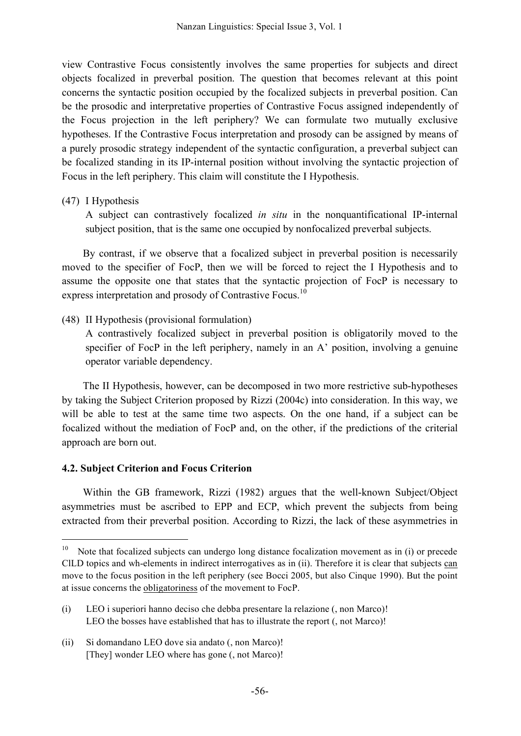view Contrastive Focus consistently involves the same properties for subjects and direct objects focalized in preverbal position. The question that becomes relevant at this point concerns the syntactic position occupied by the focalized subjects in preverbal position. Can be the prosodic and interpretative properties of Contrastive Focus assigned independently of the Focus projection in the left periphery? We can formulate two mutually exclusive hypotheses. If the Contrastive Focus interpretation and prosody can be assigned by means of a purely prosodic strategy independent of the syntactic configuration, a preverbal subject can be focalized standing in its IP-internal position without involving the syntactic projection of Focus in the left periphery. This claim will constitute the I Hypothesis.

#### (47) I Hypothesis

A subject can contrastively focalized *in situ* in the nonquantificational IP-internal subject position, that is the same one occupied by nonfocalized preverbal subjects.

By contrast, if we observe that a focalized subject in preverbal position is necessarily moved to the specifier of FocP, then we will be forced to reject the I Hypothesis and to assume the opposite one that states that the syntactic projection of FocP is necessary to express interpretation and prosody of Contrastive Focus.<sup>10</sup>

### (48) II Hypothesis (provisional formulation)

A contrastively focalized subject in preverbal position is obligatorily moved to the specifier of FocP in the left periphery, namely in an A' position, involving a genuine operator variable dependency.

The II Hypothesis, however, can be decomposed in two more restrictive sub-hypotheses by taking the Subject Criterion proposed by Rizzi (2004c) into consideration. In this way, we will be able to test at the same time two aspects. On the one hand, if a subject can be focalized without the mediation of FocP and, on the other, if the predictions of the criterial approach are born out.

### **4.2. Subject Criterion and Focus Criterion**

Within the GB framework, Rizzi (1982) argues that the well-known Subject/Object asymmetries must be ascribed to EPP and ECP, which prevent the subjects from being extracted from their preverbal position. According to Rizzi, the lack of these asymmetries in

<sup>&</sup>lt;sup>10</sup> Note that focalized subjects can undergo long distance focalization movement as in (i) or precede ClLD topics and wh-elements in indirect interrogatives as in (ii). Therefore it is clear that subjects can move to the focus position in the left periphery (see Bocci 2005, but also Cinque 1990). But the point at issue concerns the obligatoriness of the movement to FocP.

<sup>(</sup>i) LEO i superiori hanno deciso che debba presentare la relazione (, non Marco)! LEO the bosses have established that has to illustrate the report (, not Marco)!

<sup>(</sup>ii) Si domandano LEO dove sia andato (, non Marco)! [They] wonder LEO where has gone (, not Marco)!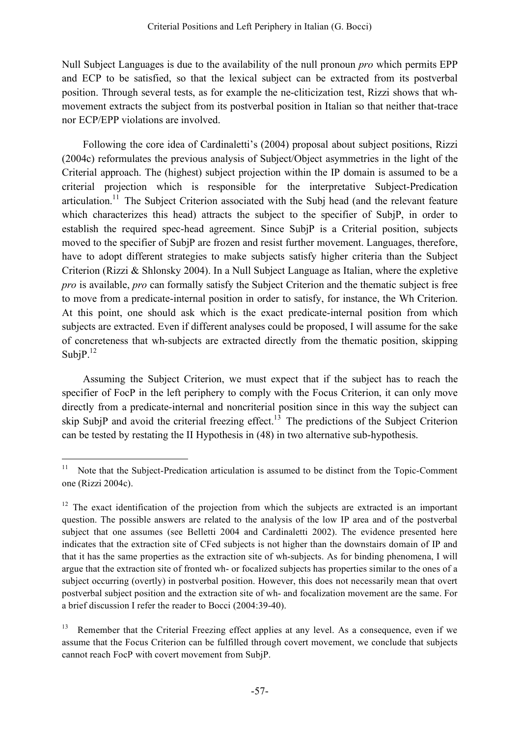Null Subject Languages is due to the availability of the null pronoun *pro* which permits EPP and ECP to be satisfied, so that the lexical subject can be extracted from its postverbal position. Through several tests, as for example the ne-cliticization test, Rizzi shows that whmovement extracts the subject from its postverbal position in Italian so that neither that-trace nor ECP/EPP violations are involved.

Following the core idea of Cardinaletti's (2004) proposal about subject positions, Rizzi (2004c) reformulates the previous analysis of Subject/Object asymmetries in the light of the Criterial approach. The (highest) subject projection within the IP domain is assumed to be a criterial projection which is responsible for the interpretative Subject-Predication articulation.<sup>11</sup> The Subject Criterion associated with the Subj head (and the relevant feature which characterizes this head) attracts the subject to the specifier of SubjP, in order to establish the required spec-head agreement. Since SubjP is a Criterial position, subjects moved to the specifier of SubjP are frozen and resist further movement. Languages, therefore, have to adopt different strategies to make subjects satisfy higher criteria than the Subject Criterion (Rizzi & Shlonsky 2004). In a Null Subject Language as Italian, where the expletive *pro* is available, *pro* can formally satisfy the Subject Criterion and the thematic subject is free to move from a predicate-internal position in order to satisfy, for instance, the Wh Criterion. At this point, one should ask which is the exact predicate-internal position from which subjects are extracted. Even if different analyses could be proposed, I will assume for the sake of concreteness that wh-subjects are extracted directly from the thematic position, skipping Subj $P^{12}$ 

Assuming the Subject Criterion, we must expect that if the subject has to reach the specifier of FocP in the left periphery to comply with the Focus Criterion, it can only move directly from a predicate-internal and noncriterial position since in this way the subject can skip SubjP and avoid the criterial freezing effect.<sup>13</sup> The predictions of the Subject Criterion can be tested by restating the II Hypothesis in (48) in two alternative sub-hypothesis.

<sup>&</sup>lt;sup>11</sup> Note that the Subject-Predication articulation is assumed to be distinct from the Topic-Comment one (Rizzi 2004c).

 $12$  The exact identification of the projection from which the subjects are extracted is an important question. The possible answers are related to the analysis of the low IP area and of the postverbal subject that one assumes (see Belletti 2004 and Cardinaletti 2002). The evidence presented here indicates that the extraction site of CFed subjects is not higher than the downstairs domain of IP and that it has the same properties as the extraction site of wh-subjects. As for binding phenomena, I will argue that the extraction site of fronted wh- or focalized subjects has properties similar to the ones of a subject occurring (overtly) in postverbal position. However, this does not necessarily mean that overt postverbal subject position and the extraction site of wh- and focalization movement are the same. For a brief discussion I refer the reader to Bocci (2004:39-40).

<sup>&</sup>lt;sup>13</sup> Remember that the Criterial Freezing effect applies at any level. As a consequence, even if we assume that the Focus Criterion can be fulfilled through covert movement, we conclude that subjects cannot reach FocP with covert movement from SubjP.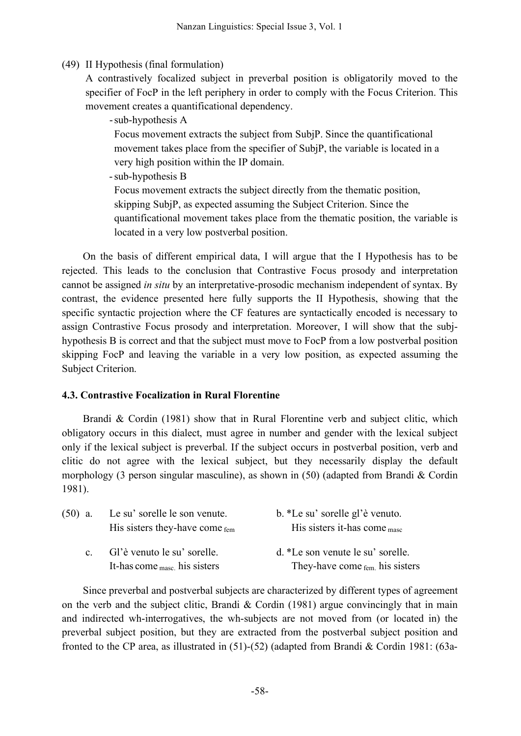(49) II Hypothesis (final formulation)

A contrastively focalized subject in preverbal position is obligatorily moved to the specifier of FocP in the left periphery in order to comply with the Focus Criterion. This movement creates a quantificational dependency.

-sub-hypothesis A

Focus movement extracts the subject from SubjP. Since the quantificational movement takes place from the specifier of SubjP, the variable is located in a very high position within the IP domain.

-sub-hypothesis B

Focus movement extracts the subject directly from the thematic position, skipping SubjP, as expected assuming the Subject Criterion. Since the quantificational movement takes place from the thematic position, the variable is located in a very low postverbal position.

On the basis of different empirical data, I will argue that the I Hypothesis has to be rejected. This leads to the conclusion that Contrastive Focus prosody and interpretation cannot be assigned *in situ* by an interpretative-prosodic mechanism independent of syntax. By contrast, the evidence presented here fully supports the II Hypothesis, showing that the specific syntactic projection where the CF features are syntactically encoded is necessary to assign Contrastive Focus prosody and interpretation. Moreover, I will show that the subjhypothesis B is correct and that the subject must move to FocP from a low postverbal position skipping FocP and leaving the variable in a very low position, as expected assuming the Subject Criterion.

# **4.3. Contrastive Focalization in Rural Florentine**

Brandi & Cordin (1981) show that in Rural Florentine verb and subject clitic, which obligatory occurs in this dialect, must agree in number and gender with the lexical subject only if the lexical subject is preverbal. If the subject occurs in postverbal position, verb and clitic do not agree with the lexical subject, but they necessarily display the default morphology (3 person singular masculine), as shown in (50) (adapted from Brandi & Cordin 1981).

| $(50)$ a.    | Le su' sorelle le son venute.<br>His sisters they-have come fem         | b. *Le su' sorelle gl'è venuto.<br>His sisters it-has come $_{\text{masc}}$      |
|--------------|-------------------------------------------------------------------------|----------------------------------------------------------------------------------|
| $\mathbf{c}$ | Gl'è venuto le su' sorelle.<br>It-has come $_{\text{masc}}$ his sisters | d. *Le son venute le su' sorelle.<br>They-have come $_{\text{fem.}}$ his sisters |

Since preverbal and postverbal subjects are characterized by different types of agreement on the verb and the subject clitic, Brandi  $\&$  Cordin (1981) argue convincingly that in main and indirected wh-interrogatives, the wh-subjects are not moved from (or located in) the preverbal subject position, but they are extracted from the postverbal subject position and fronted to the CP area, as illustrated in (51)-(52) (adapted from Brandi & Cordin 1981: (63a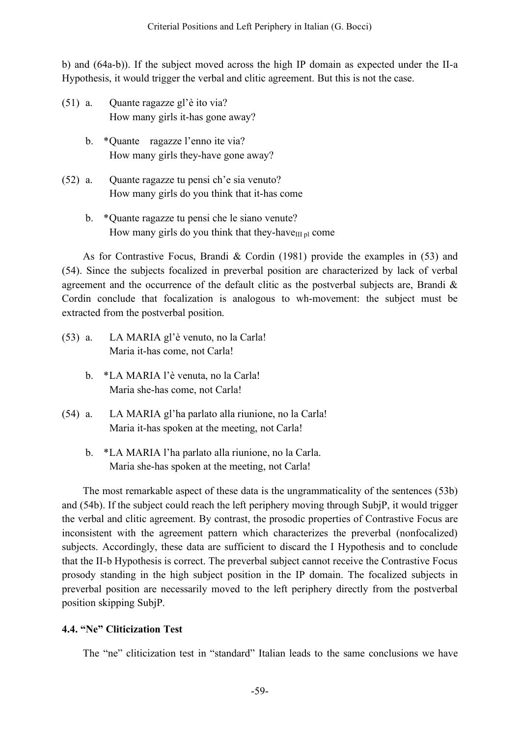b) and (64a-b)). If the subject moved across the high IP domain as expected under the II-a Hypothesis, it would trigger the verbal and clitic agreement. But this is not the case.

- (51) a. Quante ragazze gl'è ito via? How many girls it-has gone away?
	- b. \*Quante ragazze l'enno ite via? How many girls they-have gone away?
- (52) a. Quante ragazze tu pensi ch'e sia venuto? How many girls do you think that it-has come
	- b. \*Quante ragazze tu pensi che le siano venute? How many girls do you think that they-have $\mathbf{I}_{\text{III}}$  pl come

As for Contrastive Focus, Brandi & Cordin  $(1981)$  provide the examples in (53) and (54). Since the subjects focalized in preverbal position are characterized by lack of verbal agreement and the occurrence of the default clitic as the postverbal subjects are, Brandi  $\&$ Cordin conclude that focalization is analogous to wh-movement: the subject must be extracted from the postverbal position.

- (53) a. LA MARIA gl'è venuto, no la Carla! Maria it-has come, not Carla!
	- b. \*LA MARIA l'è venuta, no la Carla! Maria she-has come, not Carla!
- (54) a. LA MARIA gl'ha parlato alla riunione, no la Carla! Maria it-has spoken at the meeting, not Carla!
	- b. \*LA MARIA l'ha parlato alla riunione, no la Carla. Maria she-has spoken at the meeting, not Carla!

The most remarkable aspect of these data is the ungrammaticality of the sentences (53b) and (54b). If the subject could reach the left periphery moving through SubjP, it would trigger the verbal and clitic agreement. By contrast, the prosodic properties of Contrastive Focus are inconsistent with the agreement pattern which characterizes the preverbal (nonfocalized) subjects. Accordingly, these data are sufficient to discard the I Hypothesis and to conclude that the II-b Hypothesis is correct. The preverbal subject cannot receive the Contrastive Focus prosody standing in the high subject position in the IP domain. The focalized subjects in preverbal position are necessarily moved to the left periphery directly from the postverbal position skipping SubjP.

# **4.4. "Ne" Cliticization Test**

The "ne" cliticization test in "standard" Italian leads to the same conclusions we have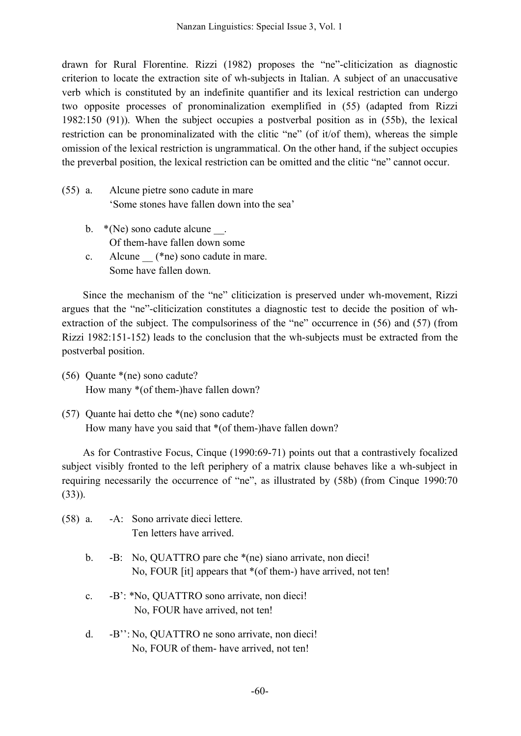drawn for Rural Florentine. Rizzi (1982) proposes the "ne"-cliticization as diagnostic criterion to locate the extraction site of wh-subjects in Italian. A subject of an unaccusative verb which is constituted by an indefinite quantifier and its lexical restriction can undergo two opposite processes of pronominalization exemplified in (55) (adapted from Rizzi 1982:150 (91)). When the subject occupies a postverbal position as in (55b), the lexical restriction can be pronominalizated with the clitic "ne" (of it/of them), whereas the simple omission of the lexical restriction is ungrammatical. On the other hand, if the subject occupies the preverbal position, the lexical restriction can be omitted and the clitic "ne" cannot occur.

- (55) a. Alcune pietre sono cadute in mare 'Some stones have fallen down into the sea'
	- b.  $*(Ne)$  sono cadute alcune  $\blacksquare$ . Of them-have fallen down some
	- c. Alcune  $(*ne)$  sono cadute in mare. Some have fallen down.

Since the mechanism of the "ne" cliticization is preserved under wh-movement, Rizzi argues that the "ne"-cliticization constitutes a diagnostic test to decide the position of whextraction of the subject. The compulsoriness of the "ne" occurrence in (56) and (57) (from Rizzi 1982:151-152) leads to the conclusion that the wh-subjects must be extracted from the postverbal position.

- (56) Quante \*(ne) sono cadute? How many \*(of them-)have fallen down?
- (57) Quante hai detto che \*(ne) sono cadute? How many have you said that \*(of them-)have fallen down?

As for Contrastive Focus, Cinque (1990:69-71) points out that a contrastively focalized subject visibly fronted to the left periphery of a matrix clause behaves like a wh-subject in requiring necessarily the occurrence of "ne", as illustrated by (58b) (from Cinque 1990:70 (33)).

- (58) a. -A: Sono arrivate dieci lettere. Ten letters have arrived.
	- b. -B: No, QUATTRO pare che \*(ne) siano arrivate, non dieci! No, FOUR [it] appears that \*(of them-) have arrived, not ten!
	- c. -B': \*No, QUATTRO sono arrivate, non dieci! No, FOUR have arrived, not ten!
	- d. -B'': No, QUATTRO ne sono arrivate, non dieci! No, FOUR of them- have arrived, not ten!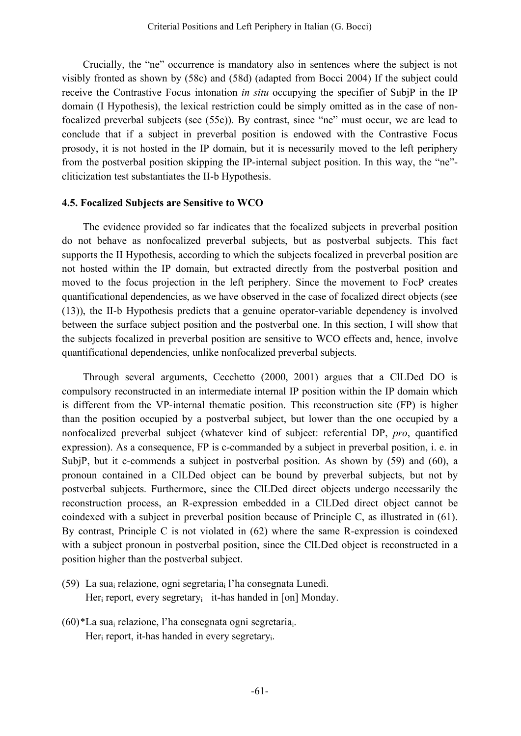Crucially, the "ne" occurrence is mandatory also in sentences where the subject is not visibly fronted as shown by (58c) and (58d) (adapted from Bocci 2004) If the subject could receive the Contrastive Focus intonation *in situ* occupying the specifier of SubjP in the IP domain (I Hypothesis), the lexical restriction could be simply omitted as in the case of nonfocalized preverbal subjects (see (55c)). By contrast, since "ne" must occur, we are lead to conclude that if a subject in preverbal position is endowed with the Contrastive Focus prosody, it is not hosted in the IP domain, but it is necessarily moved to the left periphery from the postverbal position skipping the IP-internal subject position. In this way, the "ne" cliticization test substantiates the II-b Hypothesis.

#### **4.5. Focalized Subjects are Sensitive to WCO**

The evidence provided so far indicates that the focalized subjects in preverbal position do not behave as nonfocalized preverbal subjects, but as postverbal subjects. This fact supports the II Hypothesis, according to which the subjects focalized in preverbal position are not hosted within the IP domain, but extracted directly from the postverbal position and moved to the focus projection in the left periphery. Since the movement to FocP creates quantificational dependencies, as we have observed in the case of focalized direct objects (see (13)), the II-b Hypothesis predicts that a genuine operator-variable dependency is involved between the surface subject position and the postverbal one. In this section, I will show that the subjects focalized in preverbal position are sensitive to WCO effects and, hence, involve quantificational dependencies, unlike nonfocalized preverbal subjects.

Through several arguments, Cecchetto (2000, 2001) argues that a ClLDed DO is compulsory reconstructed in an intermediate internal IP position within the IP domain which is different from the VP-internal thematic position. This reconstruction site (FP) is higher than the position occupied by a postverbal subject, but lower than the one occupied by a nonfocalized preverbal subject (whatever kind of subject: referential DP, *pro*, quantified expression). As a consequence, FP is c-commanded by a subject in preverbal position, i. e. in SubjP, but it c-commends a subject in postverbal position. As shown by (59) and (60), a pronoun contained in a ClLDed object can be bound by preverbal subjects, but not by postverbal subjects. Furthermore, since the ClLDed direct objects undergo necessarily the reconstruction process, an R-expression embedded in a ClLDed direct object cannot be coindexed with a subject in preverbal position because of Principle C, as illustrated in (61). By contrast, Principle C is not violated in (62) where the same R-expression is coindexed with a subject pronoun in postverbal position, since the ClLDed object is reconstructed in a position higher than the postverbal subject.

- (59) La suai relazione, ogni segretariai l'ha consegnata Lunedì. Her<sub>i</sub> report, every segretary<sub>i</sub> it-has handed in [on] Monday.
- $(60)^*$ La sua<sub>i</sub> relazione, l'ha consegnata ogni segretaria<sub>i</sub>. Her<sub>i</sub> report, it-has handed in every segretary.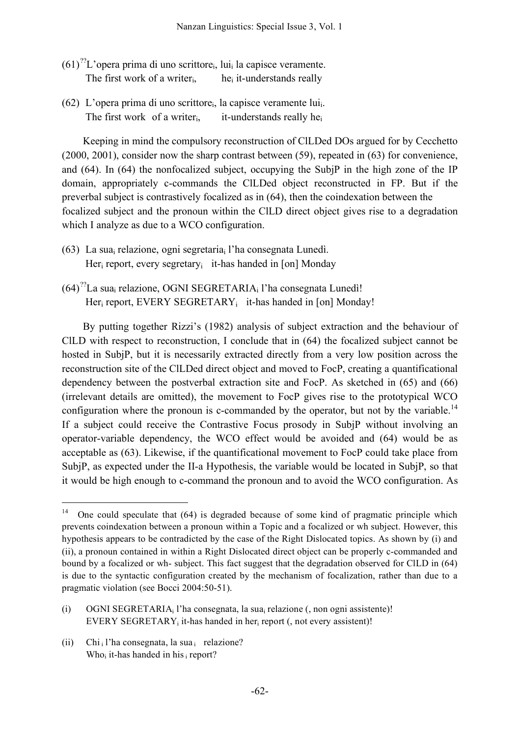- $(61)^{?7}$ L'opera prima di uno scrittore<sub>i</sub>, lui<sub>i</sub> la capisce veramente. The first work of a writer<sub>i</sub>, he<sub>i</sub> it-understands really
- (62) L'opera prima di uno scrittorei, la capisce veramente luii. The first work of a writer<sub>i</sub>, it-understands really he<sub>i</sub>

Keeping in mind the compulsory reconstruction of ClLDed DOs argued for by Cecchetto (2000, 2001), consider now the sharp contrast between (59), repeated in (63) for convenience, and (64). In (64) the nonfocalized subject, occupying the SubjP in the high zone of the IP domain, appropriately c-commands the ClLDed object reconstructed in FP. But if the preverbal subject is contrastively focalized as in (64), then the coindexation between the focalized subject and the pronoun within the ClLD direct object gives rise to a degradation which I analyze as due to a WCO configuration.

- (63) La sua<sub>i</sub> relazione, ogni segretaria<sub>i</sub> l'ha consegnata Lunedì. Her<sub>i</sub> report, every segretary<sub>i</sub> it-has handed in [on] Monday
- $(64)^{?7}$ La sua<sub>i</sub> relazione, OGNI SEGRETARIA<sub>i</sub> l'ha consegnata Lunedì! Her<sub>i</sub> report, EVERY SEGRETARY<sub>i</sub> it-has handed in [on] Monday!

By putting together Rizzi's (1982) analysis of subject extraction and the behaviour of ClLD with respect to reconstruction, I conclude that in (64) the focalized subject cannot be hosted in SubjP, but it is necessarily extracted directly from a very low position across the reconstruction site of the ClLDed direct object and moved to FocP, creating a quantificational dependency between the postverbal extraction site and FocP. As sketched in (65) and (66) (irrelevant details are omitted), the movement to FocP gives rise to the prototypical WCO configuration where the pronoun is c-commanded by the operator, but not by the variable.<sup>14</sup> If a subject could receive the Contrastive Focus prosody in SubjP without involving an operator-variable dependency, the WCO effect would be avoided and (64) would be as acceptable as (63). Likewise, if the quantificational movement to FocP could take place from SubjP, as expected under the II-a Hypothesis, the variable would be located in SubjP, so that it would be high enough to c-command the pronoun and to avoid the WCO configuration. As

(ii) Chi, l'ha consegnata, la sua i relazione? Who<sub>i</sub> it-has handed in his  $_{i}$  report?

<sup>&</sup>lt;sup>14</sup> One could speculate that  $(64)$  is degraded because of some kind of pragmatic principle which prevents coindexation between a pronoun within a Topic and a focalized or wh subject. However, this hypothesis appears to be contradicted by the case of the Right Dislocated topics. As shown by (i) and (ii), a pronoun contained in within a Right Dislocated direct object can be properly c-commanded and bound by a focalized or wh- subject. This fact suggest that the degradation observed for ClLD in (64) is due to the syntactic configuration created by the mechanism of focalization, rather than due to a pragmatic violation (see Bocci 2004:50-51).

<sup>(</sup>i) OGNI SEGRETARIA<sub>i</sub> l'ha consegnata, la sua<sub>i</sub> relazione (, non ogni assistente)! EVERY SEGRETARY<sub>i</sub> it-has handed in her<sub>i</sub> report (, not every assistent)!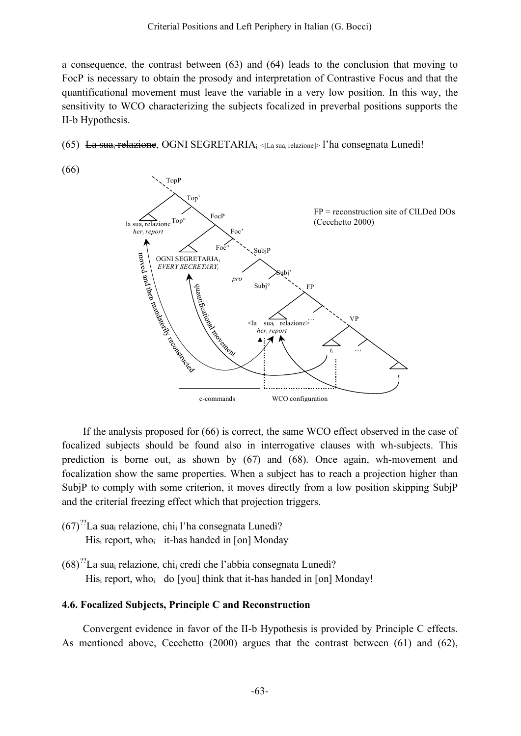a consequence, the contrast between (63) and (64) leads to the conclusion that moving to FocP is necessary to obtain the prosody and interpretation of Contrastive Focus and that the quantificational movement must leave the variable in a very low position. In this way, the sensitivity to WCO characterizing the subjects focalized in preverbal positions supports the II-b Hypothesis.

- (65) <del>La sua<sub>i</sub> relazione</del>, OGNI SEGRETARIA<sub>i <[La sua<sub>i</sub> relazione]> l'ha consegnata Lunedì!</sub>
- (66)



If the analysis proposed for (66) is correct, the same WCO effect observed in the case of focalized subjects should be found also in interrogative clauses with wh-subjects. This prediction is borne out, as shown by (67) and (68). Once again, wh-movement and focalization show the same properties. When a subject has to reach a projection higher than SubjP to comply with some criterion, it moves directly from a low position skipping SubjP and the criterial freezing effect which that projection triggers.

- $(67)^{?7}$ La sua<sub>i</sub> relazione, chi<sub>i</sub> l'ha consegnata Lunedì?  $His<sub>i</sub>$  report, who<sub>i</sub> it-has handed in [on] Monday
- $(68)^{?7}$ La sua<sub>i</sub> relazione, chi<sub>i</sub> credi che l'abbia consegnata Lunedì? His<sub>i</sub> report, who<sub>i</sub> do [you] think that it-has handed in [on] Monday!

### **4.6. Focalized Subjects, Principle C and Reconstruction**

Convergent evidence in favor of the II-b Hypothesis is provided by Principle C effects. As mentioned above, Cecchetto (2000) argues that the contrast between (61) and (62),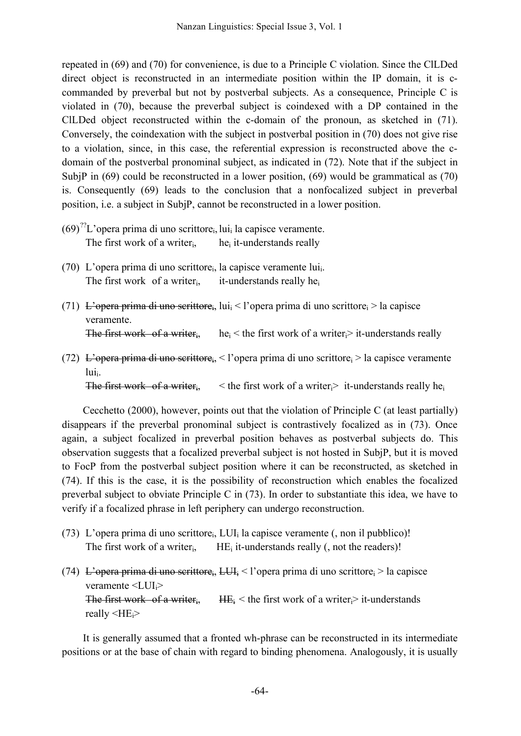repeated in (69) and (70) for convenience, is due to a Principle C violation. Since the ClLDed direct object is reconstructed in an intermediate position within the IP domain, it is ccommanded by preverbal but not by postverbal subjects. As a consequence, Principle C is violated in (70), because the preverbal subject is coindexed with a DP contained in the ClLDed object reconstructed within the c-domain of the pronoun, as sketched in (71). Conversely, the coindexation with the subject in postverbal position in (70) does not give rise to a violation, since, in this case, the referential expression is reconstructed above the cdomain of the postverbal pronominal subject, as indicated in (72). Note that if the subject in SubjP in (69) could be reconstructed in a lower position, (69) would be grammatical as (70) is. Consequently (69) leads to the conclusion that a nonfocalized subject in preverbal position, i.e. a subject in SubjP, cannot be reconstructed in a lower position.

- $(69)^{27}$ L'opera prima di uno scrittore<sub>i</sub>, lui<sub>i</sub> la capisce veramente. The first work of a writer $i$ , hei it-understands really
- (70) L'opera prima di uno scrittore<sub>i</sub>, la capisce veramente lui<sub>i</sub>. The first work of a writer<sub>i</sub>, it-understands really he<sub>i</sub>
- (71) L'opera prima di uno scrittore<sub>i</sub>, lui<sub>i</sub> < l'opera prima di uno scrittore<sub>i</sub> > la capisce veramente. The first work of a writer<sub>i</sub>, he<sub>i</sub> < the first work of a writer<sub>i</sub> it-understands really
- (72) L'opera prima di uno scrittore, < l'opera prima di uno scrittore  $>$  la capisce veramente  $lui_i$ .

The first work of a writer<sub>i</sub>,  $\leq$  the first work of a writer  $\geq$  it-understands really he

Cecchetto (2000), however, points out that the violation of Principle C (at least partially) disappears if the preverbal pronominal subject is contrastively focalized as in (73). Once again, a subject focalized in preverbal position behaves as postverbal subjects do. This observation suggests that a focalized preverbal subject is not hosted in SubjP, but it is moved to FocP from the postverbal subject position where it can be reconstructed, as sketched in (74). If this is the case, it is the possibility of reconstruction which enables the focalized preverbal subject to obviate Principle C in (73). In order to substantiate this idea, we have to verify if a focalized phrase in left periphery can undergo reconstruction.

- (73) L'opera prima di uno scrittore<sub>i</sub>, LUI<sub>i</sub> la capisce veramente (, non il pubblico)! The first work of a writer<sub>i</sub>,  $HE_i$  it-understands really (, not the readers)!
- (74) L'opera prima di uno scrittorei, LUI; < l'opera prima di uno scrittore;  $>$  la capisce veramente  $\langle LUI_i \rangle$ The first work of a writer<sub>i</sub>, HE<sub>i</sub> < the first work of a writer<sub>i</sub> it-understands really  $\leq H E_i$

It is generally assumed that a fronted wh-phrase can be reconstructed in its intermediate positions or at the base of chain with regard to binding phenomena. Analogously, it is usually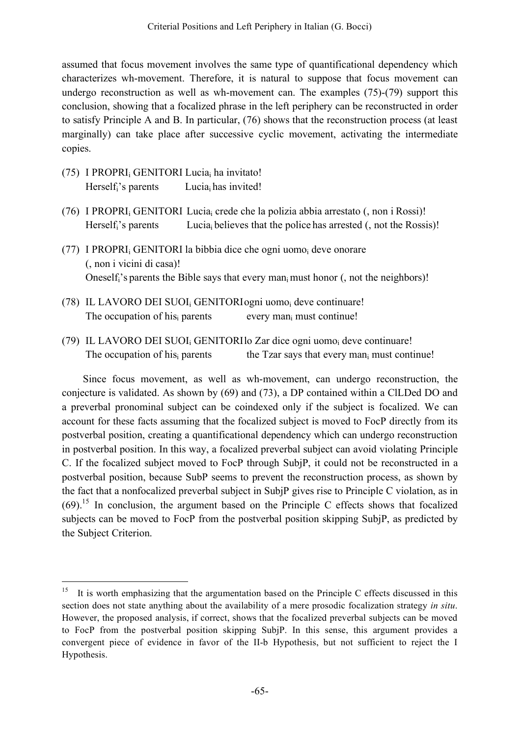assumed that focus movement involves the same type of quantificational dependency which characterizes wh-movement. Therefore, it is natural to suppose that focus movement can undergo reconstruction as well as wh-movement can. The examples (75)-(79) support this conclusion, showing that a focalized phrase in the left periphery can be reconstructed in order to satisfy Principle A and B. In particular, (76) shows that the reconstruction process (at least marginally) can take place after successive cyclic movement, activating the intermediate copies.

- (75) I PROPRIi GENITORI Luciai ha invitato! Herself;'s parents Lucia; has invited!
- (76) I PROPRI<sub>i</sub> GENITORI Lucia<sub>i</sub> crede che la polizia abbia arrestato (, non i Rossi)! Herself;'s parents Lucia<sub>i</sub> believes that the police has arrested (, not the Rossis)!
- (77) I PROPRI<sub>i</sub> GENITORI la bibbia dice che ogni uomo<sub>i</sub> deve onorare (, non i vicini di casa)! Oneself<sub>i</sub>'s parents the Bible says that every man<sub>i</sub> must honor (, not the neighbors)!
- (78) IL LAVORO DEI SUOIi GENITORIogni uomoi deve continuare! The occupation of his $_{i}$  parents every man<sub>i</sub> must continue!
- (79) IL LAVORO DEI SUOIi GENITORIlo Zar dice ogni uomoi deve continuare! The occupation of his $_{i}$  parents the Tzar says that every man $_{i}$  must continue!

Since focus movement, as well as wh-movement, can undergo reconstruction, the conjecture is validated. As shown by (69) and (73), a DP contained within a ClLDed DO and a preverbal pronominal subject can be coindexed only if the subject is focalized. We can account for these facts assuming that the focalized subject is moved to FocP directly from its postverbal position, creating a quantificational dependency which can undergo reconstruction in postverbal position. In this way, a focalized preverbal subject can avoid violating Principle C. If the focalized subject moved to FocP through SubjP, it could not be reconstructed in a postverbal position, because SubP seems to prevent the reconstruction process, as shown by the fact that a nonfocalized preverbal subject in SubjP gives rise to Principle C violation, as in  $(69)$ .<sup>15</sup> In conclusion, the argument based on the Principle C effects shows that focalized subjects can be moved to FocP from the postverbal position skipping SubjP, as predicted by the Subject Criterion.

<sup>&</sup>lt;sup>15</sup> It is worth emphasizing that the argumentation based on the Principle C effects discussed in this section does not state anything about the availability of a mere prosodic focalization strategy *in situ*. However, the proposed analysis, if correct, shows that the focalized preverbal subjects can be moved to FocP from the postverbal position skipping SubjP. In this sense, this argument provides a convergent piece of evidence in favor of the II-b Hypothesis, but not sufficient to reject the I Hypothesis.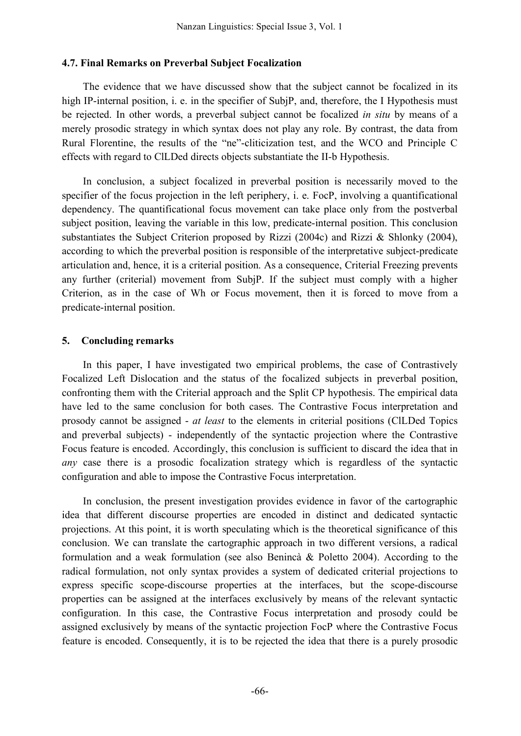#### **4.7. Final Remarks on Preverbal Subject Focalization**

The evidence that we have discussed show that the subject cannot be focalized in its high IP-internal position, i. e. in the specifier of SubjP, and, therefore, the I Hypothesis must be rejected. In other words, a preverbal subject cannot be focalized *in situ* by means of a merely prosodic strategy in which syntax does not play any role. By contrast, the data from Rural Florentine, the results of the "ne"-cliticization test, and the WCO and Principle C effects with regard to ClLDed directs objects substantiate the II-b Hypothesis.

In conclusion, a subject focalized in preverbal position is necessarily moved to the specifier of the focus projection in the left periphery, i. e. FocP, involving a quantificational dependency. The quantificational focus movement can take place only from the postverbal subject position, leaving the variable in this low, predicate-internal position. This conclusion substantiates the Subject Criterion proposed by Rizzi (2004c) and Rizzi & Shlonky (2004), according to which the preverbal position is responsible of the interpretative subject-predicate articulation and, hence, it is a criterial position. As a consequence, Criterial Freezing prevents any further (criterial) movement from SubjP. If the subject must comply with a higher Criterion, as in the case of Wh or Focus movement, then it is forced to move from a predicate-internal position.

#### **5. Concluding remarks**

In this paper, I have investigated two empirical problems, the case of Contrastively Focalized Left Dislocation and the status of the focalized subjects in preverbal position, confronting them with the Criterial approach and the Split CP hypothesis. The empirical data have led to the same conclusion for both cases. The Contrastive Focus interpretation and prosody cannot be assigned - *at least* to the elements in criterial positions (ClLDed Topics and preverbal subjects) - independently of the syntactic projection where the Contrastive Focus feature is encoded. Accordingly, this conclusion is sufficient to discard the idea that in *any* case there is a prosodic focalization strategy which is regardless of the syntactic configuration and able to impose the Contrastive Focus interpretation.

In conclusion, the present investigation provides evidence in favor of the cartographic idea that different discourse properties are encoded in distinct and dedicated syntactic projections. At this point, it is worth speculating which is the theoretical significance of this conclusion. We can translate the cartographic approach in two different versions, a radical formulation and a weak formulation (see also Benincà & Poletto 2004). According to the radical formulation, not only syntax provides a system of dedicated criterial projections to express specific scope-discourse properties at the interfaces, but the scope-discourse properties can be assigned at the interfaces exclusively by means of the relevant syntactic configuration. In this case, the Contrastive Focus interpretation and prosody could be assigned exclusively by means of the syntactic projection FocP where the Contrastive Focus feature is encoded. Consequently, it is to be rejected the idea that there is a purely prosodic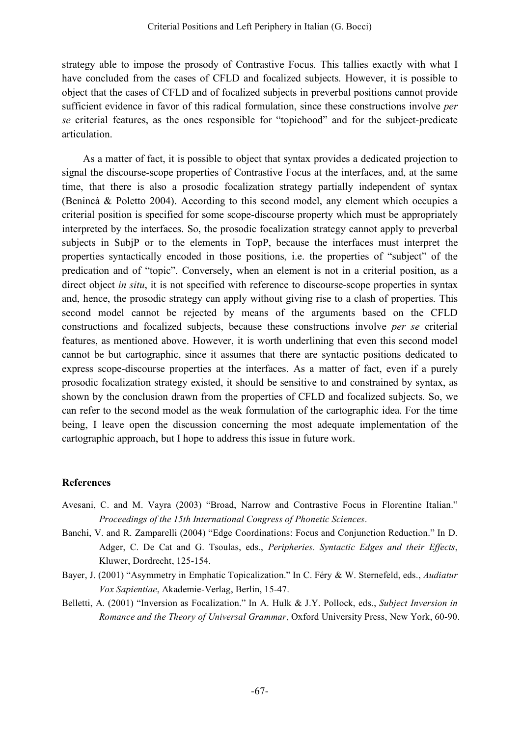strategy able to impose the prosody of Contrastive Focus. This tallies exactly with what I have concluded from the cases of CFLD and focalized subjects. However, it is possible to object that the cases of CFLD and of focalized subjects in preverbal positions cannot provide sufficient evidence in favor of this radical formulation, since these constructions involve *per se* criterial features, as the ones responsible for "topichood" and for the subject-predicate articulation.

As a matter of fact, it is possible to object that syntax provides a dedicated projection to signal the discourse-scope properties of Contrastive Focus at the interfaces, and, at the same time, that there is also a prosodic focalization strategy partially independent of syntax (Benincà & Poletto 2004). According to this second model, any element which occupies a criterial position is specified for some scope-discourse property which must be appropriately interpreted by the interfaces. So, the prosodic focalization strategy cannot apply to preverbal subjects in SubjP or to the elements in TopP, because the interfaces must interpret the properties syntactically encoded in those positions, i.e. the properties of "subject" of the predication and of "topic". Conversely, when an element is not in a criterial position, as a direct object *in situ*, it is not specified with reference to discourse-scope properties in syntax and, hence, the prosodic strategy can apply without giving rise to a clash of properties. This second model cannot be rejected by means of the arguments based on the CFLD constructions and focalized subjects, because these constructions involve *per se* criterial features, as mentioned above. However, it is worth underlining that even this second model cannot be but cartographic, since it assumes that there are syntactic positions dedicated to express scope-discourse properties at the interfaces. As a matter of fact, even if a purely prosodic focalization strategy existed, it should be sensitive to and constrained by syntax, as shown by the conclusion drawn from the properties of CFLD and focalized subjects. So, we can refer to the second model as the weak formulation of the cartographic idea. For the time being, I leave open the discussion concerning the most adequate implementation of the cartographic approach, but I hope to address this issue in future work.

### **References**

- Avesani, C. and M. Vayra (2003) "Broad, Narrow and Contrastive Focus in Florentine Italian." *Proceedings of the 15th International Congress of Phonetic Sciences*.
- Banchi, V. and R. Zamparelli (2004) "Edge Coordinations: Focus and Conjunction Reduction." In D. Adger, C. De Cat and G. Tsoulas, eds., *Peripheries. Syntactic Edges and their Effects*, Kluwer, Dordrecht, 125-154.
- Bayer, J. (2001) "Asymmetry in Emphatic Topicalization." In C. Féry & W. Sternefeld, eds., *Audiatur Vox Sapientiae*, Akademie-Verlag, Berlin, 15-47.
- Belletti, A. (2001) "Inversion as Focalization." In A. Hulk & J.Y. Pollock, eds., *Subject Inversion in Romance and the Theory of Universal Grammar*, Oxford University Press, New York, 60-90.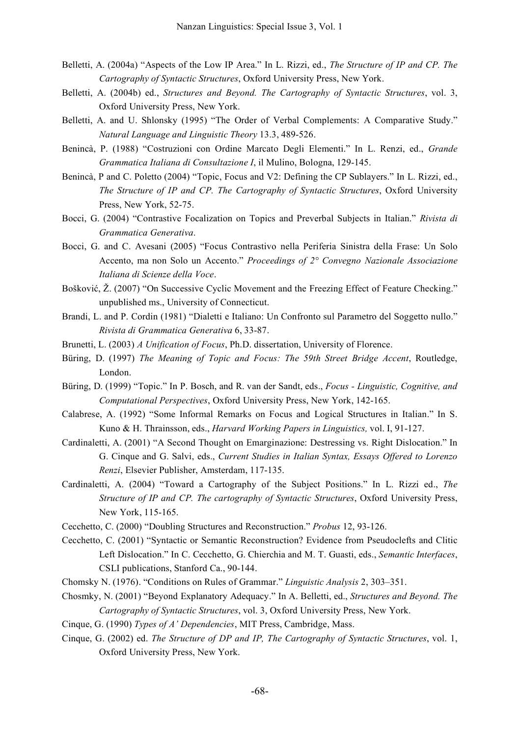- Belletti, A. (2004a) "Aspects of the Low IP Area." In L. Rizzi, ed., *The Structure of IP and CP. The Cartography of Syntactic Structures*, Oxford University Press, New York.
- Belletti, A. (2004b) ed., *Structures and Beyond. The Cartography of Syntactic Structures*, vol. 3, Oxford University Press, New York.
- Belletti, A. and U. Shlonsky (1995) "The Order of Verbal Complements: A Comparative Study." *Natural Language and Linguistic Theory* 13.3, 489-526.
- Benincà, P. (1988) "Costruzioni con Ordine Marcato Degli Elementi." In L. Renzi, ed., *Grande Grammatica Italiana di Consultazione I*, il Mulino, Bologna, 129-145.
- Benincà, P and C. Poletto (2004) "Topic, Focus and V2: Defining the CP Sublayers." In L. Rizzi, ed., *The Structure of IP and CP. The Cartography of Syntactic Structures*, Oxford University Press, New York, 52-75.
- Bocci, G. (2004) "Contrastive Focalization on Topics and Preverbal Subjects in Italian." *Rivista di Grammatica Generativa*.
- Bocci, G. and C. Avesani (2005) "Focus Contrastivo nella Periferia Sinistra della Frase: Un Solo Accento, ma non Solo un Accento." *Proceedings of 2° Convegno Nazionale Associazione Italiana di Scienze della Voce*.
- Bošković, Ž. (2007) "On Successive Cyclic Movement and the Freezing Effect of Feature Checking." unpublished ms., University of Connecticut.
- Brandi, L. and P. Cordin (1981) "Dialetti e Italiano: Un Confronto sul Parametro del Soggetto nullo." *Rivista di Grammatica Generativa* 6, 33-87.
- Brunetti, L. (2003) *A Unification of Focus*, Ph.D. dissertation, University of Florence.
- Büring, D. (1997) *The Meaning of Topic and Focus: The 59th Street Bridge Accent*, Routledge, London.
- Büring, D. (1999) "Topic." In P. Bosch, and R. van der Sandt, eds., *Focus - Linguistic, Cognitive, and Computational Perspectives*, Oxford University Press, New York, 142-165.
- Calabrese, A. (1992) "Some Informal Remarks on Focus and Logical Structures in Italian." In S. Kuno & H. Thrainsson, eds., *Harvard Working Papers in Linguistics,* vol. I, 91-127.
- Cardinaletti, A. (2001) "A Second Thought on Emarginazione: Destressing vs. Right Dislocation." In G. Cinque and G. Salvi, eds., *Current Studies in Italian Syntax, Essays Offered to Lorenzo Renzi*, Elsevier Publisher, Amsterdam, 117-135.
- Cardinaletti, A. (2004) "Toward a Cartography of the Subject Positions." In L. Rizzi ed., *The Structure of IP and CP. The cartography of Syntactic Structures*, Oxford University Press, New York, 115-165.
- Cecchetto, C. (2000) "Doubling Structures and Reconstruction." *Probus* 12, 93-126.
- Cecchetto, C. (2001) "Syntactic or Semantic Reconstruction? Evidence from Pseudoclefts and Clitic Left Dislocation." In C. Cecchetto, G. Chierchia and M. T. Guasti, eds., *Semantic Interfaces*, CSLI publications, Stanford Ca., 90-144.
- Chomsky N. (1976). "Conditions on Rules of Grammar." *Linguistic Analysis* 2, 303–351.
- Chosmky, N. (2001) "Beyond Explanatory Adequacy." In A. Belletti, ed., *Structures and Beyond. The Cartography of Syntactic Structures*, vol. 3, Oxford University Press, New York.
- Cinque, G. (1990) *Types of A' Dependencies*, MIT Press, Cambridge, Mass.
- Cinque, G. (2002) ed. *The Structure of DP and IP, The Cartography of Syntactic Structures*, vol. 1, Oxford University Press, New York.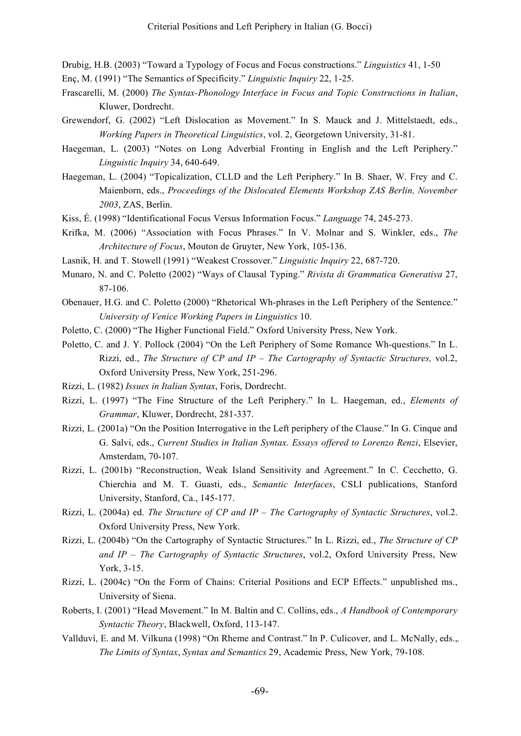Drubig, H.B. (2003) "Toward a Typology of Focus and Focus constructions." *Linguistics* 41, 1-50

- Enç, M. (1991) "The Semantics of Specificity." *Linguistic Inquiry* 22, 1-25.
- Frascarelli, M. (2000) *The Syntax-Phonology Interface in Focus and Topic Constructions in Italian*, Kluwer, Dordrecht.
- Grewendorf, G. (2002) "Left Dislocation as Movement." In S. Mauck and J. Mittelstaedt, eds., *Working Papers in Theoretical Linguistics*, vol. 2, Georgetown University, 31-81.
- Haegeman, L. (2003) "Notes on Long Adverbial Fronting in English and the Left Periphery." *Linguistic Inquiry* 34, 640-649.
- Haegeman, L. (2004) "Topicalization, CLLD and the Left Periphery." In B. Shaer, W. Frey and C. Maienborn, eds., *Proceedings of the Dislocated Elements Workshop ZAS Berlin, November 2003*, ZAS, Berlin.
- Kiss, É. (1998) "Identificational Focus Versus Information Focus." *Language* 74, 245-273.
- Krifka, M. (2006) "Association with Focus Phrases." In V. Molnar and S. Winkler, eds., *The Architecture of Focus*, Mouton de Gruyter, New York, 105-136.
- Lasnik, H. and T. Stowell (1991) "Weakest Crossover." *Linguistic Inquiry* 22, 687-720.
- Munaro, N. and C. Poletto (2002) "Ways of Clausal Typing." *Rivista di Grammatica Generativa* 27, 87-106.
- Obenauer, H.G. and C. Poletto (2000) "Rhetorical Wh-phrases in the Left Periphery of the Sentence." *University of Venice Working Papers in Linguistics* 10.
- Poletto, C. (2000) "The Higher Functional Field." Oxford University Press, New York.
- Poletto, C. and J. Y. Pollock (2004) "On the Left Periphery of Some Romance Wh-questions." In L. Rizzi, ed., *The Structure of CP and IP – The Cartography of Syntactic Structures,* vol.2, Oxford University Press, New York, 251-296.
- Rizzi, L. (1982) *Issues in Italian Syntax*, Foris, Dordrecht.
- Rizzi, L. (1997) "The Fine Structure of the Left Periphery." In L. Haegeman, ed., *Elements of Grammar*, Kluwer, Dordrecht, 281-337.
- Rizzi, L. (2001a) "On the Position Interrogative in the Left periphery of the Clause." In G. Cinque and G. Salvi, eds., *Current Studies in Italian Syntax. Essays offered to Lorenzo Renzi*, Elsevier, Amsterdam, 70-107.
- Rizzi, L. (2001b) "Reconstruction, Weak Island Sensitivity and Agreement." In C. Cecchetto, G. Chierchia and M. T. Guasti, eds., *Semantic Interfaces*, CSLI publications, Stanford University, Stanford, Ca., 145-177.
- Rizzi, L. (2004a) ed. *The Structure of CP and IP – The Cartography of Syntactic Structures*, vol.2. Oxford University Press, New York.
- Rizzi, L. (2004b) "On the Cartography of Syntactic Structures." In L. Rizzi, ed., *The Structure of CP and IP – The Cartography of Syntactic Structures*, vol.2, Oxford University Press, New York, 3-15.
- Rizzi, L. (2004c) "On the Form of Chains: Criterial Positions and ECP Effects." unpublished ms., University of Siena.
- Roberts, I. (2001) "Head Movement." In M. Baltin and C. Collins, eds., *A Handbook of Contemporary Syntactic Theory*, Blackwell, Oxford, 113-147.
- Vallduví, E. and M. Vilkuna (1998) "On Rheme and Contrast." In P. Culicover, and L. McNally, eds.,*. The Limits of Syntax*, *Syntax and Semantics* 29, Academic Press, New York, 79-108.